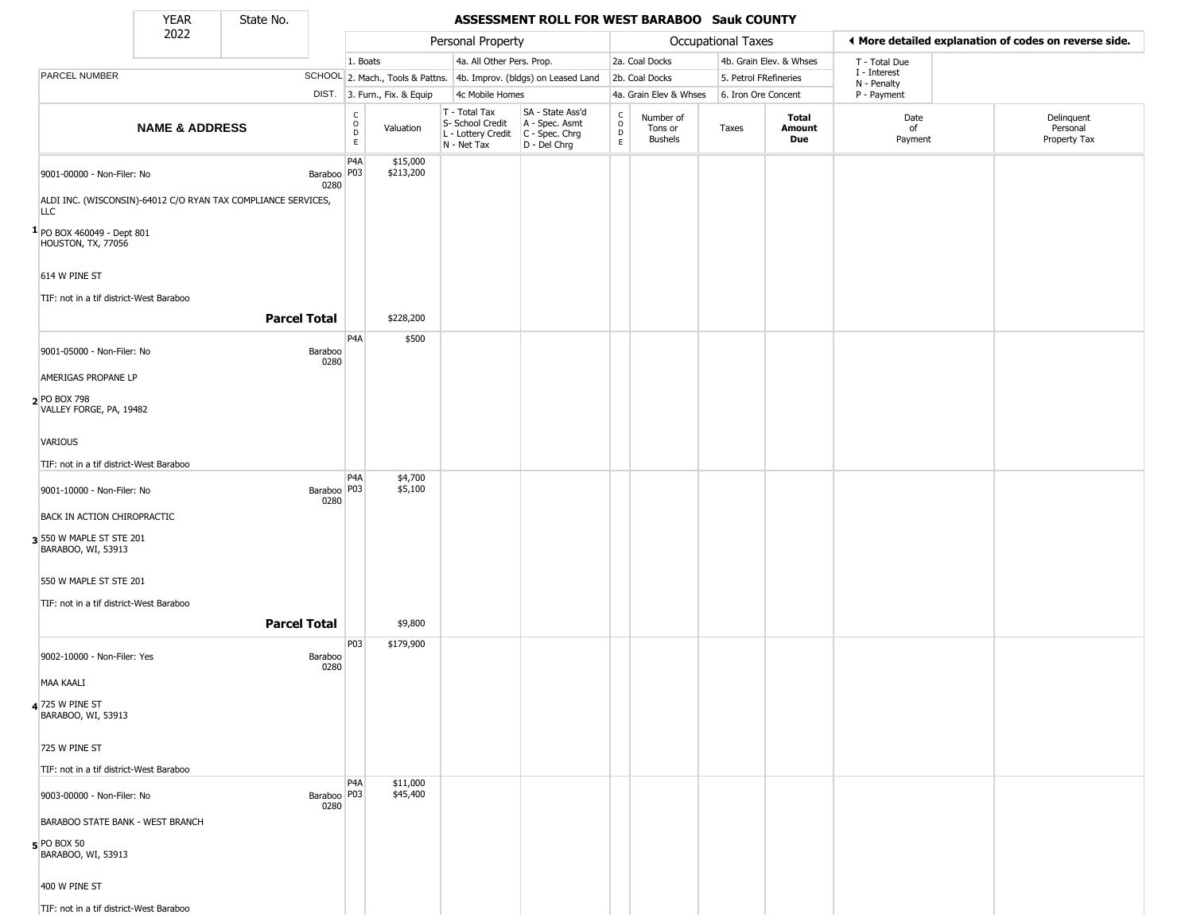State No.

#### **YEAR** State No. **ASSESSMENT ROLL FOR WEST BARABOO Sauk COUNTY**

|                                                    | 2022                             |                                                               |                                                 |                              | Personal Property                                                      |                                                                      |                                                                    |                                        | Occupational Taxes    |                         | ♦ More detailed explanation of codes on reverse side. |                                        |
|----------------------------------------------------|----------------------------------|---------------------------------------------------------------|-------------------------------------------------|------------------------------|------------------------------------------------------------------------|----------------------------------------------------------------------|--------------------------------------------------------------------|----------------------------------------|-----------------------|-------------------------|-------------------------------------------------------|----------------------------------------|
|                                                    |                                  |                                                               | 1. Boats                                        |                              | 4a. All Other Pers. Prop.                                              |                                                                      |                                                                    | 2a. Coal Docks                         |                       | 4b. Grain Elev. & Whses | T - Total Due                                         |                                        |
| PARCEL NUMBER                                      |                                  |                                                               |                                                 |                              |                                                                        | SCHOOL 2. Mach., Tools & Pattns. 4b. Improv. (bldgs) on Leased Land  |                                                                    | 2b. Coal Docks                         | 5. Petrol FRefineries |                         | I - Interest<br>N - Penalty                           |                                        |
|                                                    |                                  |                                                               |                                                 | DIST. 3. Furn., Fix. & Equip | 4c Mobile Homes                                                        |                                                                      |                                                                    | 4a. Grain Elev & Whses                 | 6. Iron Ore Concent   |                         | P - Payment                                           |                                        |
|                                                    | <b>NAME &amp; ADDRESS</b>        |                                                               | $\mathsf{C}$<br>$\mathsf O$<br>D<br>$\mathsf E$ | Valuation                    | T - Total Tax<br>S- School Credit<br>L - Lottery Credit<br>N - Net Tax | SA - State Ass'd<br>A - Spec. Asmt<br>C - Spec. Chrg<br>D - Del Chrg | $\begin{smallmatrix} C \\ 0 \\ D \end{smallmatrix}$<br>$\mathsf E$ | Number of<br>Tons or<br><b>Bushels</b> | Taxes                 | Total<br>Amount<br>Due  | Date<br>of<br>Payment                                 | Delinquent<br>Personal<br>Property Tax |
| 9001-00000 - Non-Filer: No                         |                                  | Baraboo P03<br>0280                                           | P <sub>4</sub> A                                | \$15,000<br>\$213,200        |                                                                        |                                                                      |                                                                    |                                        |                       |                         |                                                       |                                        |
| <b>LLC</b>                                         |                                  | ALDI INC. (WISCONSIN)-64012 C/O RYAN TAX COMPLIANCE SERVICES, |                                                 |                              |                                                                        |                                                                      |                                                                    |                                        |                       |                         |                                                       |                                        |
| $1$ PO BOX 460049 - Dept 801<br>HOUSTON, TX, 77056 |                                  |                                                               |                                                 |                              |                                                                        |                                                                      |                                                                    |                                        |                       |                         |                                                       |                                        |
| 614 W PINE ST                                      |                                  |                                                               |                                                 |                              |                                                                        |                                                                      |                                                                    |                                        |                       |                         |                                                       |                                        |
| TIF: not in a tif district-West Baraboo            |                                  | <b>Parcel Total</b>                                           |                                                 | \$228,200                    |                                                                        |                                                                      |                                                                    |                                        |                       |                         |                                                       |                                        |
|                                                    |                                  |                                                               | P4A                                             |                              |                                                                        |                                                                      |                                                                    |                                        |                       |                         |                                                       |                                        |
| 9001-05000 - Non-Filer: No                         |                                  | Baraboo<br>0280                                               |                                                 | \$500                        |                                                                        |                                                                      |                                                                    |                                        |                       |                         |                                                       |                                        |
| AMERIGAS PROPANE LP                                |                                  |                                                               |                                                 |                              |                                                                        |                                                                      |                                                                    |                                        |                       |                         |                                                       |                                        |
| 2 PO BOX 798<br>VALLEY FORGE, PA, 19482            |                                  |                                                               |                                                 |                              |                                                                        |                                                                      |                                                                    |                                        |                       |                         |                                                       |                                        |
| VARIOUS                                            |                                  |                                                               |                                                 |                              |                                                                        |                                                                      |                                                                    |                                        |                       |                         |                                                       |                                        |
| TIF: not in a tif district-West Baraboo            |                                  |                                                               |                                                 |                              |                                                                        |                                                                      |                                                                    |                                        |                       |                         |                                                       |                                        |
| 9001-10000 - Non-Filer: No                         |                                  | Baraboo   P03<br>0280                                         | P <sub>4</sub> A                                | \$4,700<br>\$5,100           |                                                                        |                                                                      |                                                                    |                                        |                       |                         |                                                       |                                        |
| <b>BACK IN ACTION CHIROPRACTIC</b>                 |                                  |                                                               |                                                 |                              |                                                                        |                                                                      |                                                                    |                                        |                       |                         |                                                       |                                        |
| 3 550 W MAPLE ST STE 201<br>BARABOO, WI, 53913     |                                  |                                                               |                                                 |                              |                                                                        |                                                                      |                                                                    |                                        |                       |                         |                                                       |                                        |
| 550 W MAPLE ST STE 201                             |                                  |                                                               |                                                 |                              |                                                                        |                                                                      |                                                                    |                                        |                       |                         |                                                       |                                        |
| TIF: not in a tif district-West Baraboo            |                                  |                                                               |                                                 |                              |                                                                        |                                                                      |                                                                    |                                        |                       |                         |                                                       |                                        |
|                                                    |                                  | <b>Parcel Total</b>                                           |                                                 | \$9,800                      |                                                                        |                                                                      |                                                                    |                                        |                       |                         |                                                       |                                        |
| 9002-10000 - Non-Filer: Yes                        |                                  | Baraboo<br>0280                                               | P03                                             | \$179,900                    |                                                                        |                                                                      |                                                                    |                                        |                       |                         |                                                       |                                        |
| <b>MAA KAALI</b>                                   |                                  |                                                               |                                                 |                              |                                                                        |                                                                      |                                                                    |                                        |                       |                         |                                                       |                                        |
| 4 725 W PINE ST<br>BARABOO, WI, 53913              |                                  |                                                               |                                                 |                              |                                                                        |                                                                      |                                                                    |                                        |                       |                         |                                                       |                                        |
| 725 W PINE ST                                      |                                  |                                                               |                                                 |                              |                                                                        |                                                                      |                                                                    |                                        |                       |                         |                                                       |                                        |
| TIF: not in a tif district-West Baraboo            |                                  |                                                               |                                                 |                              |                                                                        |                                                                      |                                                                    |                                        |                       |                         |                                                       |                                        |
| 9003-00000 - Non-Filer: No                         |                                  | Baraboo   P03<br>0280                                         | P <sub>4</sub> A                                | \$11,000<br>\$45,400         |                                                                        |                                                                      |                                                                    |                                        |                       |                         |                                                       |                                        |
|                                                    | BARABOO STATE BANK - WEST BRANCH |                                                               |                                                 |                              |                                                                        |                                                                      |                                                                    |                                        |                       |                         |                                                       |                                        |
| $5$ PO BOX 50<br>BARABOO, WI, 53913                |                                  |                                                               |                                                 |                              |                                                                        |                                                                      |                                                                    |                                        |                       |                         |                                                       |                                        |
| 400 W PINE ST                                      |                                  |                                                               |                                                 |                              |                                                                        |                                                                      |                                                                    |                                        |                       |                         |                                                       |                                        |
| TIF: not in a tif district-West Baraboo            |                                  |                                                               |                                                 |                              |                                                                        |                                                                      |                                                                    |                                        |                       |                         |                                                       |                                        |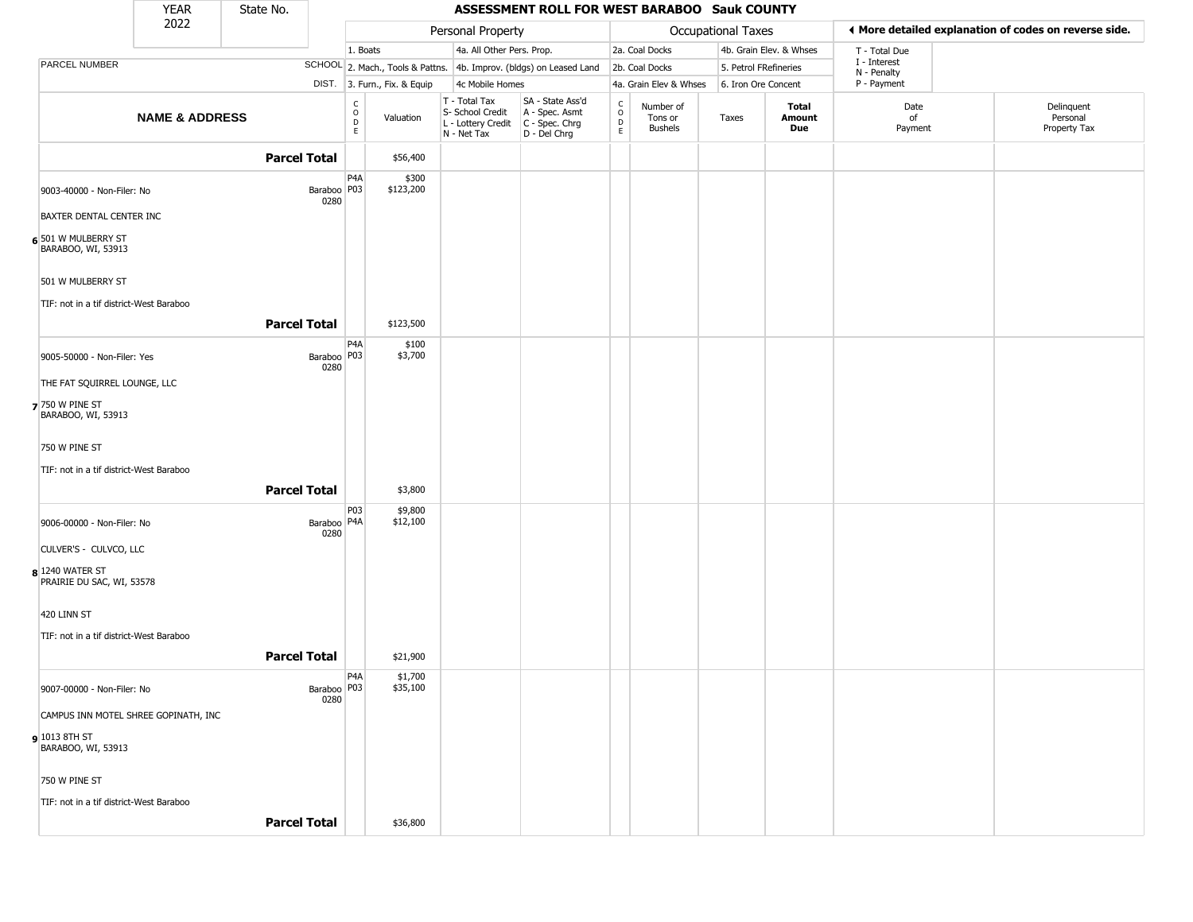|                                              | <b>YEAR</b>               | State No. |                       |                                                          |                              |                                                                        | ASSESSMENT ROLL FOR WEST BARABOO Sauk COUNTY                         |                                                          |                                        |                    |                         |                             |                                                       |
|----------------------------------------------|---------------------------|-----------|-----------------------|----------------------------------------------------------|------------------------------|------------------------------------------------------------------------|----------------------------------------------------------------------|----------------------------------------------------------|----------------------------------------|--------------------|-------------------------|-----------------------------|-------------------------------------------------------|
|                                              | 2022                      |           |                       |                                                          |                              | Personal Property                                                      |                                                                      |                                                          |                                        | Occupational Taxes |                         |                             | ♦ More detailed explanation of codes on reverse side. |
|                                              |                           |           |                       | 1. Boats                                                 |                              | 4a. All Other Pers. Prop.                                              |                                                                      |                                                          | 2a. Coal Docks                         |                    | 4b. Grain Elev. & Whses | T - Total Due               |                                                       |
| PARCEL NUMBER                                |                           |           |                       |                                                          |                              |                                                                        | SCHOOL 2. Mach., Tools & Pattns. 4b. Improv. (bldgs) on Leased Land  |                                                          | 2b. Coal Docks                         |                    | 5. Petrol FRefineries   | I - Interest<br>N - Penalty |                                                       |
|                                              |                           |           |                       |                                                          | DIST. 3. Furn., Fix. & Equip | 4c Mobile Homes                                                        |                                                                      |                                                          | 4a. Grain Elev & Whses                 |                    | 6. Iron Ore Concent     | P - Payment                 |                                                       |
|                                              | <b>NAME &amp; ADDRESS</b> |           |                       | $\begin{matrix} 0 \\ 0 \\ D \end{matrix}$<br>$\mathsf E$ | Valuation                    | T - Total Tax<br>S- School Credit<br>L - Lottery Credit<br>N - Net Tax | SA - State Ass'd<br>A - Spec. Asmt<br>C - Spec. Chrg<br>D - Del Chrg | $\begin{matrix} 0 \\ 0 \\ D \end{matrix}$<br>$\mathsf E$ | Number of<br>Tons or<br><b>Bushels</b> | Taxes              | Total<br>Amount<br>Due  | Date<br>of<br>Payment       | Delinquent<br>Personal<br>Property Tax                |
|                                              |                           |           | <b>Parcel Total</b>   |                                                          | \$56,400                     |                                                                        |                                                                      |                                                          |                                        |                    |                         |                             |                                                       |
| 9003-40000 - Non-Filer: No                   |                           |           | Baraboo P03<br>0280   | P4A                                                      | \$300<br>\$123,200           |                                                                        |                                                                      |                                                          |                                        |                    |                         |                             |                                                       |
| BAXTER DENTAL CENTER INC                     |                           |           |                       |                                                          |                              |                                                                        |                                                                      |                                                          |                                        |                    |                         |                             |                                                       |
| 6 501 W MULBERRY ST<br>BARABOO, WI, 53913    |                           |           |                       |                                                          |                              |                                                                        |                                                                      |                                                          |                                        |                    |                         |                             |                                                       |
| 501 W MULBERRY ST                            |                           |           |                       |                                                          |                              |                                                                        |                                                                      |                                                          |                                        |                    |                         |                             |                                                       |
| TIF: not in a tif district-West Baraboo      |                           |           |                       |                                                          |                              |                                                                        |                                                                      |                                                          |                                        |                    |                         |                             |                                                       |
|                                              |                           |           | <b>Parcel Total</b>   |                                                          | \$123,500                    |                                                                        |                                                                      |                                                          |                                        |                    |                         |                             |                                                       |
| 9005-50000 - Non-Filer: Yes                  |                           |           | Baraboo P03<br>0280   | P4A                                                      | \$100<br>\$3,700             |                                                                        |                                                                      |                                                          |                                        |                    |                         |                             |                                                       |
| THE FAT SQUIRREL LOUNGE, LLC                 |                           |           |                       |                                                          |                              |                                                                        |                                                                      |                                                          |                                        |                    |                         |                             |                                                       |
| 7 750 W PINE ST<br>BARABOO, WI, 53913        |                           |           |                       |                                                          |                              |                                                                        |                                                                      |                                                          |                                        |                    |                         |                             |                                                       |
| 750 W PINE ST                                |                           |           |                       |                                                          |                              |                                                                        |                                                                      |                                                          |                                        |                    |                         |                             |                                                       |
| TIF: not in a tif district-West Baraboo      |                           |           |                       |                                                          |                              |                                                                        |                                                                      |                                                          |                                        |                    |                         |                             |                                                       |
|                                              |                           |           | <b>Parcel Total</b>   |                                                          | \$3,800                      |                                                                        |                                                                      |                                                          |                                        |                    |                         |                             |                                                       |
|                                              |                           |           |                       | P03                                                      | \$9,800                      |                                                                        |                                                                      |                                                          |                                        |                    |                         |                             |                                                       |
| 9006-00000 - Non-Filer: No                   |                           |           | Baraboo   P4A<br>0280 |                                                          | \$12,100                     |                                                                        |                                                                      |                                                          |                                        |                    |                         |                             |                                                       |
| CULVER'S - CULVCO, LLC                       |                           |           |                       |                                                          |                              |                                                                        |                                                                      |                                                          |                                        |                    |                         |                             |                                                       |
| 8 1240 WATER ST<br>PRAIRIE DU SAC, WI, 53578 |                           |           |                       |                                                          |                              |                                                                        |                                                                      |                                                          |                                        |                    |                         |                             |                                                       |
| 420 LINN ST                                  |                           |           |                       |                                                          |                              |                                                                        |                                                                      |                                                          |                                        |                    |                         |                             |                                                       |
| TIF: not in a tif district-West Baraboo      |                           |           |                       |                                                          |                              |                                                                        |                                                                      |                                                          |                                        |                    |                         |                             |                                                       |
|                                              |                           |           | <b>Parcel Total</b>   |                                                          | \$21,900                     |                                                                        |                                                                      |                                                          |                                        |                    |                         |                             |                                                       |
| 9007-00000 - Non-Filer: No                   |                           |           | Baraboo   P03         | P <sub>4</sub> A                                         | \$1,700<br>\$35,100          |                                                                        |                                                                      |                                                          |                                        |                    |                         |                             |                                                       |
| CAMPUS INN MOTEL SHREE GOPINATH, INC         |                           |           | 0280                  |                                                          |                              |                                                                        |                                                                      |                                                          |                                        |                    |                         |                             |                                                       |
| 9 1013 8TH ST<br>BARABOO, WI, 53913          |                           |           |                       |                                                          |                              |                                                                        |                                                                      |                                                          |                                        |                    |                         |                             |                                                       |
| 750 W PINE ST                                |                           |           |                       |                                                          |                              |                                                                        |                                                                      |                                                          |                                        |                    |                         |                             |                                                       |
| TIF: not in a tif district-West Baraboo      |                           |           |                       |                                                          |                              |                                                                        |                                                                      |                                                          |                                        |                    |                         |                             |                                                       |
|                                              |                           |           | <b>Parcel Total</b>   |                                                          | \$36,800                     |                                                                        |                                                                      |                                                          |                                        |                    |                         |                             |                                                       |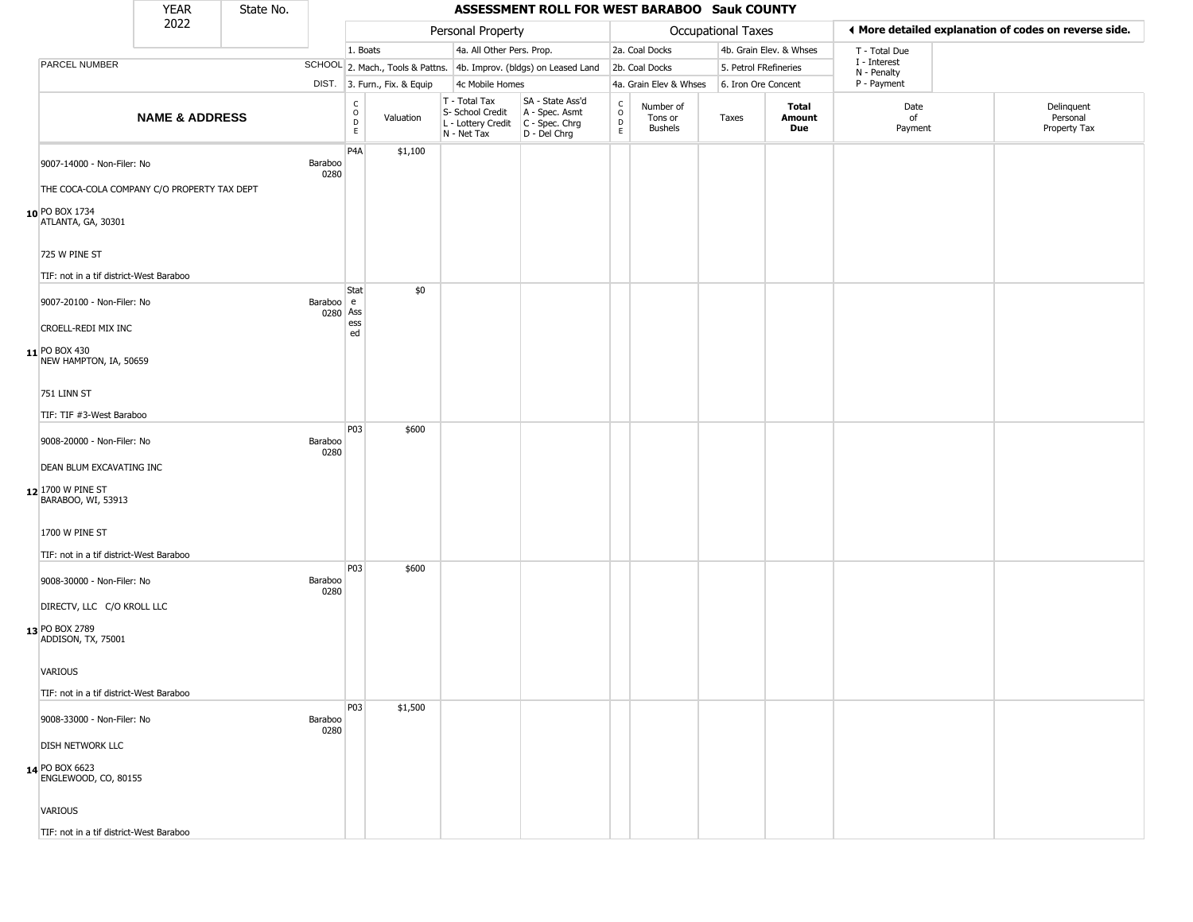|                                             | <b>YEAR</b>               | State No. |                       |                        |                              |                                                                        | ASSESSMENT ROLL FOR WEST BARABOO Sauk COUNTY                         |                                             |                                        |                       |                         |                             |                                                       |
|---------------------------------------------|---------------------------|-----------|-----------------------|------------------------|------------------------------|------------------------------------------------------------------------|----------------------------------------------------------------------|---------------------------------------------|----------------------------------------|-----------------------|-------------------------|-----------------------------|-------------------------------------------------------|
|                                             | 2022                      |           |                       |                        |                              | Personal Property                                                      |                                                                      |                                             |                                        | Occupational Taxes    |                         |                             | ◀ More detailed explanation of codes on reverse side. |
|                                             |                           |           |                       | 1. Boats               |                              | 4a. All Other Pers. Prop.                                              |                                                                      |                                             | 2a. Coal Docks                         |                       | 4b. Grain Elev. & Whses | T - Total Due               |                                                       |
| PARCEL NUMBER                               |                           |           |                       |                        |                              |                                                                        | SCHOOL 2. Mach., Tools & Pattns. 4b. Improv. (bldgs) on Leased Land  |                                             | 2b. Coal Docks                         | 5. Petrol FRefineries |                         | I - Interest<br>N - Penalty |                                                       |
|                                             |                           |           |                       |                        | DIST. 3. Furn., Fix. & Equip | 4c Mobile Homes                                                        |                                                                      |                                             | 4a. Grain Elev & Whses                 | 6. Iron Ore Concent   |                         | P - Payment                 |                                                       |
|                                             | <b>NAME &amp; ADDRESS</b> |           |                       | C<br>$\circ$<br>D<br>E | Valuation                    | T - Total Tax<br>S- School Credit<br>L - Lottery Credit<br>N - Net Tax | SA - State Ass'd<br>A - Spec. Asmt<br>C - Spec. Chrg<br>D - Del Chrg | $\mathsf{C}$<br>$\circ$<br>$\mathsf D$<br>E | Number of<br>Tons or<br><b>Bushels</b> | Taxes                 | Total<br>Amount<br>Due  | Date<br>of<br>Payment       | Delinquent<br>Personal<br>Property Tax                |
| 9007-14000 - Non-Filer: No                  |                           |           | Baraboo<br>0280       | P <sub>4</sub> A       | \$1,100                      |                                                                        |                                                                      |                                             |                                        |                       |                         |                             |                                                       |
| THE COCA-COLA COMPANY C/O PROPERTY TAX DEPT |                           |           |                       |                        |                              |                                                                        |                                                                      |                                             |                                        |                       |                         |                             |                                                       |
| 10 PO BOX 1734<br>ATLANTA, GA, 30301        |                           |           |                       |                        |                              |                                                                        |                                                                      |                                             |                                        |                       |                         |                             |                                                       |
| 725 W PINE ST                               |                           |           |                       |                        |                              |                                                                        |                                                                      |                                             |                                        |                       |                         |                             |                                                       |
| TIF: not in a tif district-West Baraboo     |                           |           |                       | Stat                   | \$0                          |                                                                        |                                                                      |                                             |                                        |                       |                         |                             |                                                       |
| 9007-20100 - Non-Filer: No                  |                           |           | Baraboo e<br>0280 Ass | ess                    |                              |                                                                        |                                                                      |                                             |                                        |                       |                         |                             |                                                       |
| CROELL-REDI MIX INC                         |                           |           |                       | ed                     |                              |                                                                        |                                                                      |                                             |                                        |                       |                         |                             |                                                       |
| 11 PO BOX 430<br>NEW HAMPTON, IA, 50659     |                           |           |                       |                        |                              |                                                                        |                                                                      |                                             |                                        |                       |                         |                             |                                                       |
| 751 LINN ST                                 |                           |           |                       |                        |                              |                                                                        |                                                                      |                                             |                                        |                       |                         |                             |                                                       |
| TIF: TIF #3-West Baraboo                    |                           |           |                       |                        |                              |                                                                        |                                                                      |                                             |                                        |                       |                         |                             |                                                       |
|                                             |                           |           |                       | P03                    | \$600                        |                                                                        |                                                                      |                                             |                                        |                       |                         |                             |                                                       |
| 9008-20000 - Non-Filer: No                  |                           |           | Baraboo<br>0280       |                        |                              |                                                                        |                                                                      |                                             |                                        |                       |                         |                             |                                                       |
| <b>DEAN BLUM EXCAVATING INC</b>             |                           |           |                       |                        |                              |                                                                        |                                                                      |                                             |                                        |                       |                         |                             |                                                       |
| 12 1700 W PINE ST<br>BARABOO, WI, 53913     |                           |           |                       |                        |                              |                                                                        |                                                                      |                                             |                                        |                       |                         |                             |                                                       |
| 1700 W PINE ST                              |                           |           |                       |                        |                              |                                                                        |                                                                      |                                             |                                        |                       |                         |                             |                                                       |
| TIF: not in a tif district-West Baraboo     |                           |           |                       | P03                    | \$600                        |                                                                        |                                                                      |                                             |                                        |                       |                         |                             |                                                       |
| 9008-30000 - Non-Filer: No                  |                           |           | Baraboo<br>0280       |                        |                              |                                                                        |                                                                      |                                             |                                        |                       |                         |                             |                                                       |
| DIRECTV, LLC C/O KROLL LLC                  |                           |           |                       |                        |                              |                                                                        |                                                                      |                                             |                                        |                       |                         |                             |                                                       |
| 13 PO BOX 2789<br>ADDISON, TX, 75001        |                           |           |                       |                        |                              |                                                                        |                                                                      |                                             |                                        |                       |                         |                             |                                                       |
| VARIOUS                                     |                           |           |                       |                        |                              |                                                                        |                                                                      |                                             |                                        |                       |                         |                             |                                                       |
| TIF: not in a tif district-West Baraboo     |                           |           |                       |                        |                              |                                                                        |                                                                      |                                             |                                        |                       |                         |                             |                                                       |
| 9008-33000 - Non-Filer: No                  |                           |           | Baraboo<br>0280       | P03                    | \$1,500                      |                                                                        |                                                                      |                                             |                                        |                       |                         |                             |                                                       |
| <b>DISH NETWORK LLC</b>                     |                           |           |                       |                        |                              |                                                                        |                                                                      |                                             |                                        |                       |                         |                             |                                                       |
| 14 PO BOX 6623<br>ENGLEWOOD, CO, 80155      |                           |           |                       |                        |                              |                                                                        |                                                                      |                                             |                                        |                       |                         |                             |                                                       |
| VARIOUS                                     |                           |           |                       |                        |                              |                                                                        |                                                                      |                                             |                                        |                       |                         |                             |                                                       |
| TIF: not in a tif district-West Baraboo     |                           |           |                       |                        |                              |                                                                        |                                                                      |                                             |                                        |                       |                         |                             |                                                       |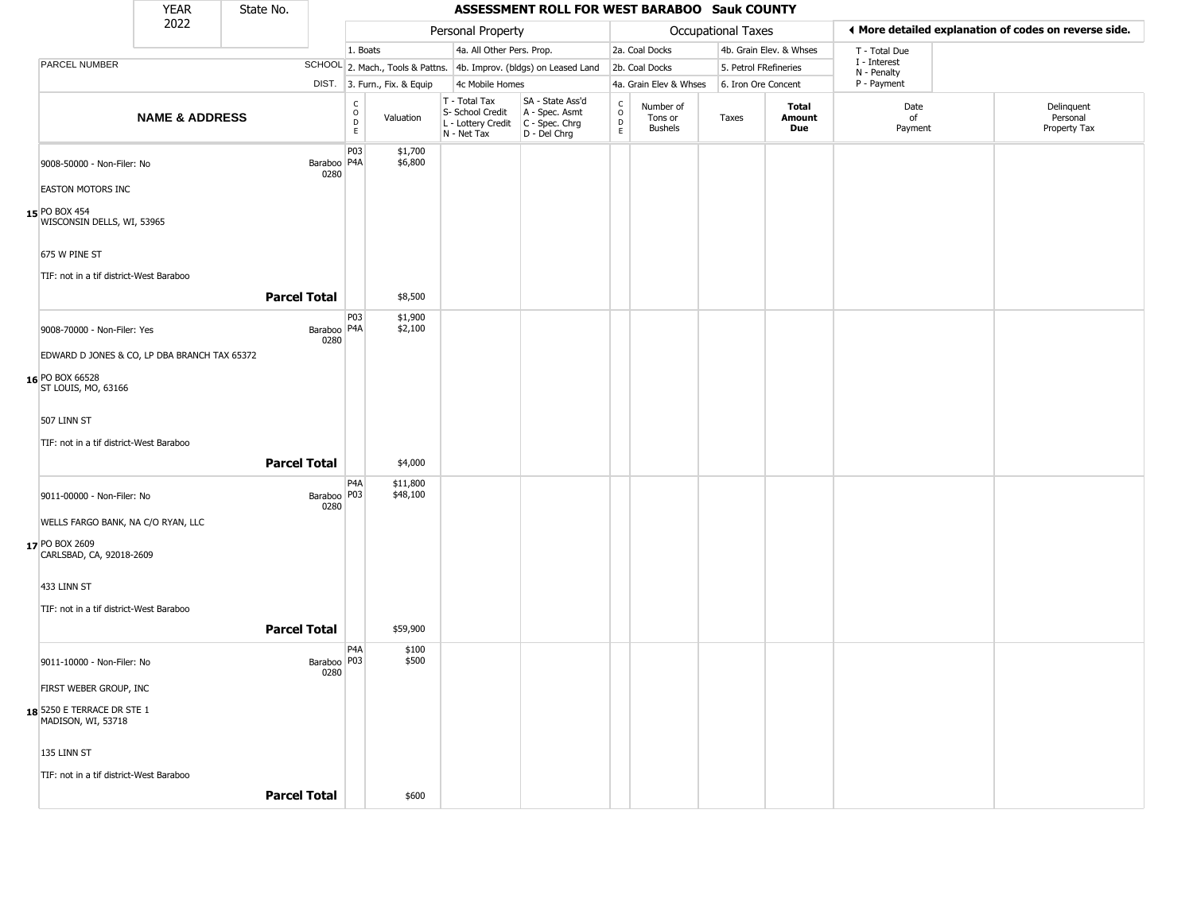|                                                  | <b>YEAR</b>                                  | State No.           |                       |                                             |                              |                                                                        | ASSESSMENT ROLL FOR WEST BARABOO Sauk COUNTY                           |                                        |                                        |                       |                         |                             |                                                       |
|--------------------------------------------------|----------------------------------------------|---------------------|-----------------------|---------------------------------------------|------------------------------|------------------------------------------------------------------------|------------------------------------------------------------------------|----------------------------------------|----------------------------------------|-----------------------|-------------------------|-----------------------------|-------------------------------------------------------|
|                                                  | 2022                                         |                     |                       |                                             |                              | Personal Property                                                      |                                                                        |                                        |                                        | Occupational Taxes    |                         |                             | ♦ More detailed explanation of codes on reverse side. |
|                                                  |                                              |                     |                       | 1. Boats                                    |                              | 4a. All Other Pers. Prop.                                              |                                                                        |                                        | 2a. Coal Docks                         |                       | 4b. Grain Elev. & Whses | T - Total Due               |                                                       |
| PARCEL NUMBER                                    |                                              |                     |                       |                                             |                              |                                                                        | SCHOOL 2. Mach., Tools & Pattns. 4b. Improv. (bldgs) on Leased Land    |                                        | 2b. Coal Docks                         | 5. Petrol FRefineries |                         | I - Interest<br>N - Penalty |                                                       |
|                                                  |                                              |                     |                       |                                             | DIST. 3. Furn., Fix. & Equip | 4c Mobile Homes                                                        |                                                                        |                                        | 4a. Grain Elev & Whses                 | 6. Iron Ore Concent   |                         | P - Payment                 |                                                       |
|                                                  | <b>NAME &amp; ADDRESS</b>                    |                     |                       | $\frac{C}{O}$<br>$\mathsf D$<br>$\mathsf E$ | Valuation                    | T - Total Tax<br>S- School Credit<br>L - Lottery Credit<br>N - Net Tax | SA - State Ass'd<br>A - Spec. Asmt<br>$C - Spec. Chrg$<br>D - Del Chrg | $\delta$<br>$\mathsf D$<br>$\mathsf E$ | Number of<br>Tons or<br><b>Bushels</b> | Taxes                 | Total<br>Amount<br>Due  | Date<br>of<br>Payment       | Delinquent<br>Personal<br>Property Tax                |
| 9008-50000 - Non-Filer: No                       |                                              |                     | Baraboo P4A<br>0280   | P03                                         | \$1,700<br>\$6,800           |                                                                        |                                                                        |                                        |                                        |                       |                         |                             |                                                       |
| <b>EASTON MOTORS INC</b>                         |                                              |                     |                       |                                             |                              |                                                                        |                                                                        |                                        |                                        |                       |                         |                             |                                                       |
| 15 PO BOX 454<br>WISCONSIN DELLS, WI, 53965      |                                              |                     |                       |                                             |                              |                                                                        |                                                                        |                                        |                                        |                       |                         |                             |                                                       |
| 675 W PINE ST                                    |                                              |                     |                       |                                             |                              |                                                                        |                                                                        |                                        |                                        |                       |                         |                             |                                                       |
| TIF: not in a tif district-West Baraboo          |                                              | <b>Parcel Total</b> |                       |                                             | \$8,500                      |                                                                        |                                                                        |                                        |                                        |                       |                         |                             |                                                       |
| 9008-70000 - Non-Filer: Yes                      |                                              |                     | Baraboo   P4A         | P03                                         | \$1,900<br>\$2,100           |                                                                        |                                                                        |                                        |                                        |                       |                         |                             |                                                       |
|                                                  | EDWARD D JONES & CO, LP DBA BRANCH TAX 65372 |                     | 0280                  |                                             |                              |                                                                        |                                                                        |                                        |                                        |                       |                         |                             |                                                       |
|                                                  |                                              |                     |                       |                                             |                              |                                                                        |                                                                        |                                        |                                        |                       |                         |                             |                                                       |
| 16 PO BOX 66528<br>ST LOUIS, MO, 63166           |                                              |                     |                       |                                             |                              |                                                                        |                                                                        |                                        |                                        |                       |                         |                             |                                                       |
| 507 LINN ST                                      |                                              |                     |                       |                                             |                              |                                                                        |                                                                        |                                        |                                        |                       |                         |                             |                                                       |
| TIF: not in a tif district-West Baraboo          |                                              |                     |                       |                                             |                              |                                                                        |                                                                        |                                        |                                        |                       |                         |                             |                                                       |
|                                                  |                                              | <b>Parcel Total</b> |                       |                                             | \$4,000                      |                                                                        |                                                                        |                                        |                                        |                       |                         |                             |                                                       |
| 9011-00000 - Non-Filer: No                       |                                              |                     | Baraboo   P03<br>0280 | P <sub>4</sub> A                            | \$11,800<br>\$48,100         |                                                                        |                                                                        |                                        |                                        |                       |                         |                             |                                                       |
| WELLS FARGO BANK, NA C/O RYAN, LLC               |                                              |                     |                       |                                             |                              |                                                                        |                                                                        |                                        |                                        |                       |                         |                             |                                                       |
| 17 PO BOX 2609<br>CARLSBAD, CA, 92018-2609       |                                              |                     |                       |                                             |                              |                                                                        |                                                                        |                                        |                                        |                       |                         |                             |                                                       |
| 433 LINN ST                                      |                                              |                     |                       |                                             |                              |                                                                        |                                                                        |                                        |                                        |                       |                         |                             |                                                       |
| TIF: not in a tif district-West Baraboo          |                                              |                     |                       |                                             |                              |                                                                        |                                                                        |                                        |                                        |                       |                         |                             |                                                       |
|                                                  |                                              | <b>Parcel Total</b> |                       |                                             | \$59,900                     |                                                                        |                                                                        |                                        |                                        |                       |                         |                             |                                                       |
| 9011-10000 - Non-Filer: No                       |                                              |                     | Baraboo P03<br>0280   | P <sub>4</sub> A                            | \$100<br>\$500               |                                                                        |                                                                        |                                        |                                        |                       |                         |                             |                                                       |
| FIRST WEBER GROUP, INC                           |                                              |                     |                       |                                             |                              |                                                                        |                                                                        |                                        |                                        |                       |                         |                             |                                                       |
| 18 5250 E TERRACE DR STE 1<br>MADISON, WI, 53718 |                                              |                     |                       |                                             |                              |                                                                        |                                                                        |                                        |                                        |                       |                         |                             |                                                       |
| 135 LINN ST                                      |                                              |                     |                       |                                             |                              |                                                                        |                                                                        |                                        |                                        |                       |                         |                             |                                                       |
| TIF: not in a tif district-West Baraboo          |                                              |                     |                       |                                             |                              |                                                                        |                                                                        |                                        |                                        |                       |                         |                             |                                                       |
|                                                  |                                              | <b>Parcel Total</b> |                       |                                             | \$600                        |                                                                        |                                                                        |                                        |                                        |                       |                         |                             |                                                       |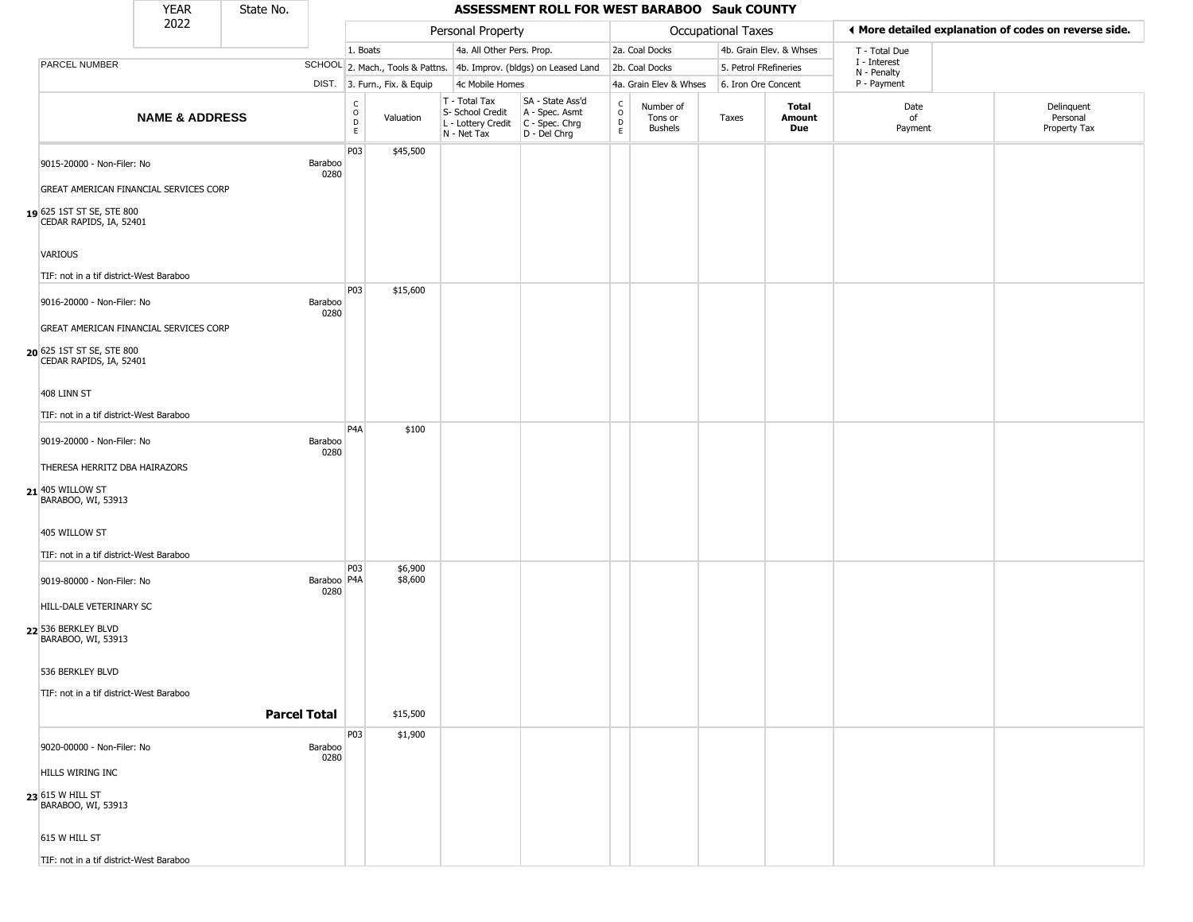|                                                      | <b>YEAR</b>               | State No. |                       |                                   |                              |                                                                        | ASSESSMENT ROLL FOR WEST BARABOO Sauk COUNTY                         |                                    |                                        |                           |                         |                             |                                                       |
|------------------------------------------------------|---------------------------|-----------|-----------------------|-----------------------------------|------------------------------|------------------------------------------------------------------------|----------------------------------------------------------------------|------------------------------------|----------------------------------------|---------------------------|-------------------------|-----------------------------|-------------------------------------------------------|
|                                                      | 2022                      |           |                       |                                   |                              | Personal Property                                                      |                                                                      |                                    |                                        | <b>Occupational Taxes</b> |                         |                             | ◀ More detailed explanation of codes on reverse side. |
|                                                      |                           |           |                       | 1. Boats                          |                              | 4a. All Other Pers. Prop.                                              |                                                                      |                                    | 2a. Coal Docks                         |                           | 4b. Grain Elev. & Whses | T - Total Due               |                                                       |
| <b>PARCEL NUMBER</b>                                 |                           |           |                       |                                   |                              |                                                                        | SCHOOL 2. Mach., Tools & Pattns. 4b. Improv. (bldgs) on Leased Land  |                                    | 2b. Coal Docks                         | 5. Petrol FRefineries     |                         | I - Interest<br>N - Penalty |                                                       |
|                                                      |                           |           |                       |                                   | DIST. 3. Furn., Fix. & Equip | 4c Mobile Homes                                                        |                                                                      |                                    | 4a. Grain Elev & Whses                 | 6. Iron Ore Concent       |                         | P - Payment                 |                                                       |
|                                                      | <b>NAME &amp; ADDRESS</b> |           |                       | $\frac{c}{0}$<br>D<br>$\mathsf E$ | Valuation                    | T - Total Tax<br>S- School Credit<br>L - Lottery Credit<br>N - Net Tax | SA - State Ass'd<br>A - Spec. Asmt<br>C - Spec. Chrg<br>D - Del Chrg | $\int_{0}^{c}$<br>D<br>$\mathsf E$ | Number of<br>Tons or<br><b>Bushels</b> | Taxes                     | Total<br>Amount<br>Due  | Date<br>of<br>Payment       | Delinquent<br>Personal<br>Property Tax                |
| 9015-20000 - Non-Filer: No                           |                           |           | Baraboo<br>0280       | P03                               | \$45,500                     |                                                                        |                                                                      |                                    |                                        |                           |                         |                             |                                                       |
| GREAT AMERICAN FINANCIAL SERVICES CORP               |                           |           |                       |                                   |                              |                                                                        |                                                                      |                                    |                                        |                           |                         |                             |                                                       |
| 19 625 1ST ST SE, STE 800<br>CEDAR RAPIDS, IA, 52401 |                           |           |                       |                                   |                              |                                                                        |                                                                      |                                    |                                        |                           |                         |                             |                                                       |
| VARIOUS                                              |                           |           |                       |                                   |                              |                                                                        |                                                                      |                                    |                                        |                           |                         |                             |                                                       |
| TIF: not in a tif district-West Baraboo              |                           |           |                       |                                   |                              |                                                                        |                                                                      |                                    |                                        |                           |                         |                             |                                                       |
| 9016-20000 - Non-Filer: No                           |                           |           | Baraboo<br>0280       | P03                               | \$15,600                     |                                                                        |                                                                      |                                    |                                        |                           |                         |                             |                                                       |
| GREAT AMERICAN FINANCIAL SERVICES CORP               |                           |           |                       |                                   |                              |                                                                        |                                                                      |                                    |                                        |                           |                         |                             |                                                       |
| 20 625 1ST ST SE, STE 800<br>CEDAR RAPIDS, IA, 52401 |                           |           |                       |                                   |                              |                                                                        |                                                                      |                                    |                                        |                           |                         |                             |                                                       |
| 408 LINN ST                                          |                           |           |                       |                                   |                              |                                                                        |                                                                      |                                    |                                        |                           |                         |                             |                                                       |
| TIF: not in a tif district-West Baraboo              |                           |           |                       |                                   |                              |                                                                        |                                                                      |                                    |                                        |                           |                         |                             |                                                       |
| 9019-20000 - Non-Filer: No                           |                           |           | Baraboo<br>0280       | P <sub>4</sub> A                  | \$100                        |                                                                        |                                                                      |                                    |                                        |                           |                         |                             |                                                       |
| THERESA HERRITZ DBA HAIRAZORS                        |                           |           |                       |                                   |                              |                                                                        |                                                                      |                                    |                                        |                           |                         |                             |                                                       |
| $21$ 405 WILLOW ST<br>BARABOO, WI, 53913             |                           |           |                       |                                   |                              |                                                                        |                                                                      |                                    |                                        |                           |                         |                             |                                                       |
| 405 WILLOW ST                                        |                           |           |                       |                                   |                              |                                                                        |                                                                      |                                    |                                        |                           |                         |                             |                                                       |
| TIF: not in a tif district-West Baraboo              |                           |           |                       | P03                               | \$6,900                      |                                                                        |                                                                      |                                    |                                        |                           |                         |                             |                                                       |
| 9019-80000 - Non-Filer: No                           |                           |           | Baraboo   P4A<br>0280 |                                   | \$8,600                      |                                                                        |                                                                      |                                    |                                        |                           |                         |                             |                                                       |
| HILL-DALE VETERINARY SC                              |                           |           |                       |                                   |                              |                                                                        |                                                                      |                                    |                                        |                           |                         |                             |                                                       |
| 22 536 BERKLEY BLVD<br>BARABOO, WI, 53913            |                           |           |                       |                                   |                              |                                                                        |                                                                      |                                    |                                        |                           |                         |                             |                                                       |
| 536 BERKLEY BLVD                                     |                           |           |                       |                                   |                              |                                                                        |                                                                      |                                    |                                        |                           |                         |                             |                                                       |
| TIF: not in a tif district-West Baraboo              |                           |           |                       |                                   |                              |                                                                        |                                                                      |                                    |                                        |                           |                         |                             |                                                       |
|                                                      |                           |           | <b>Parcel Total</b>   |                                   | \$15,500                     |                                                                        |                                                                      |                                    |                                        |                           |                         |                             |                                                       |
|                                                      |                           |           |                       | P03                               | \$1,900                      |                                                                        |                                                                      |                                    |                                        |                           |                         |                             |                                                       |
| 9020-00000 - Non-Filer: No                           |                           |           | Baraboo<br>0280       |                                   |                              |                                                                        |                                                                      |                                    |                                        |                           |                         |                             |                                                       |
| HILLS WIRING INC                                     |                           |           |                       |                                   |                              |                                                                        |                                                                      |                                    |                                        |                           |                         |                             |                                                       |
| $23$ 615 W HILL ST<br>BARABOO, WI, 53913             |                           |           |                       |                                   |                              |                                                                        |                                                                      |                                    |                                        |                           |                         |                             |                                                       |
| 615 W HILL ST                                        |                           |           |                       |                                   |                              |                                                                        |                                                                      |                                    |                                        |                           |                         |                             |                                                       |
| TIF: not in a tif district-West Baraboo              |                           |           |                       |                                   |                              |                                                                        |                                                                      |                                    |                                        |                           |                         |                             |                                                       |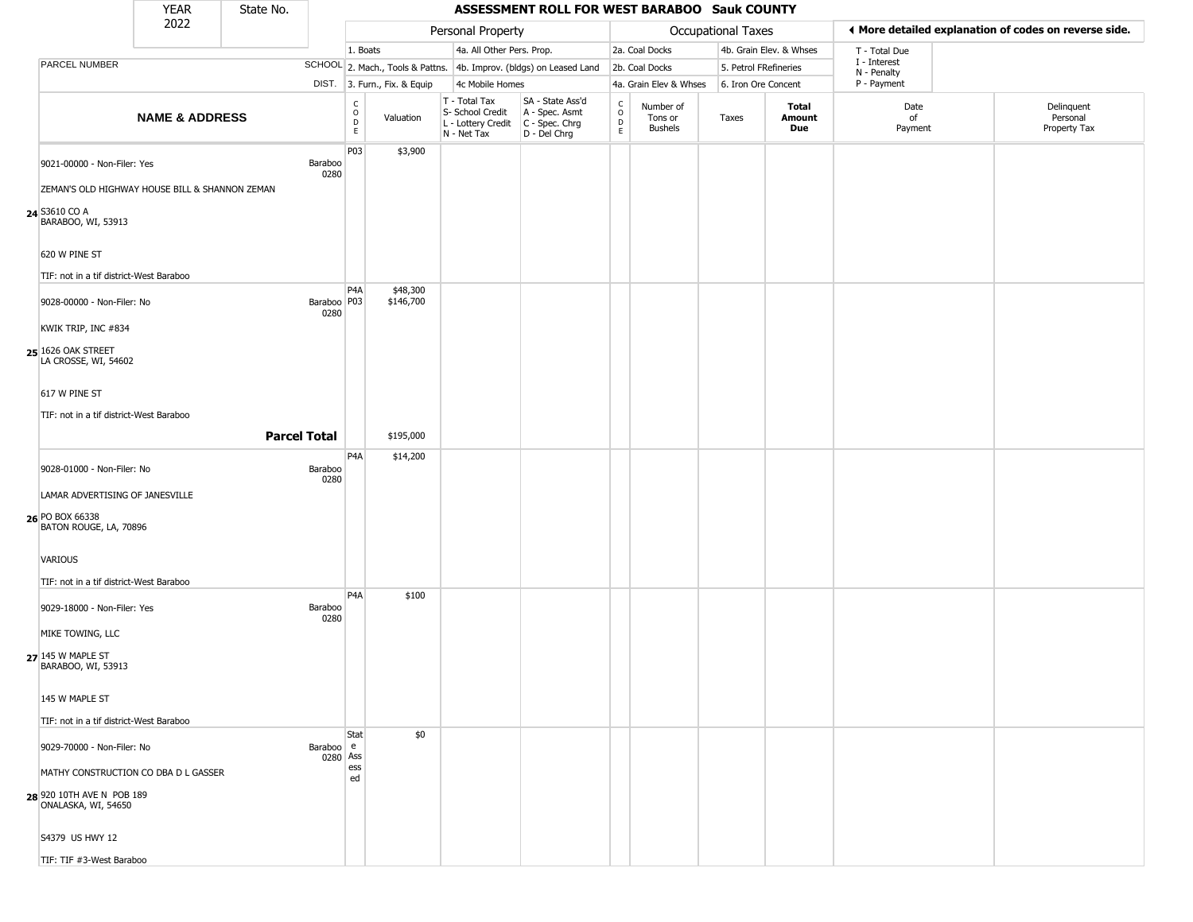|                                                  | <b>YEAR</b>                                    | State No.           |                       |                                             |                              |                                                  | ASSESSMENT ROLL FOR WEST BARABOO Sauk COUNTY                                              |                                                          |                                        |                           |                         |                             |                                                       |
|--------------------------------------------------|------------------------------------------------|---------------------|-----------------------|---------------------------------------------|------------------------------|--------------------------------------------------|-------------------------------------------------------------------------------------------|----------------------------------------------------------|----------------------------------------|---------------------------|-------------------------|-----------------------------|-------------------------------------------------------|
|                                                  | 2022                                           |                     |                       |                                             |                              | Personal Property                                |                                                                                           |                                                          |                                        | <b>Occupational Taxes</b> |                         |                             | ◀ More detailed explanation of codes on reverse side. |
|                                                  |                                                |                     |                       | 1. Boats                                    |                              | 4a. All Other Pers. Prop.                        |                                                                                           |                                                          | 2a. Coal Docks                         |                           | 4b. Grain Elev. & Whses | T - Total Due               |                                                       |
| PARCEL NUMBER                                    |                                                |                     |                       |                                             |                              |                                                  | SCHOOL 2. Mach., Tools & Pattns. 4b. Improv. (bldgs) on Leased Land                       |                                                          | 2b. Coal Docks                         | 5. Petrol FRefineries     |                         | I - Interest<br>N - Penalty |                                                       |
|                                                  |                                                |                     |                       |                                             | DIST. 3. Furn., Fix. & Equip | 4c Mobile Homes                                  |                                                                                           |                                                          | 4a. Grain Elev & Whses                 | 6. Iron Ore Concent       |                         | P - Payment                 |                                                       |
|                                                  | <b>NAME &amp; ADDRESS</b>                      |                     |                       | $\mathsf{C}$<br>$\circ$<br>$\mathsf D$<br>E | Valuation                    | T - Total Tax<br>S- School Credit<br>N - Net Tax | SA - State Ass'd<br>A - Spec. Asmt<br>L - Lottery Credit   C - Spec. Chrg<br>D - Del Chrg | $\begin{matrix} 0 \\ 0 \\ 0 \end{matrix}$<br>$\mathsf E$ | Number of<br>Tons or<br><b>Bushels</b> | Taxes                     | Total<br>Amount<br>Due  | Date<br>of<br>Payment       | Delinquent<br>Personal<br>Property Tax                |
| 9021-00000 - Non-Filer: Yes                      |                                                |                     | Baraboo<br>0280       | P03                                         | \$3,900                      |                                                  |                                                                                           |                                                          |                                        |                           |                         |                             |                                                       |
|                                                  | ZEMAN'S OLD HIGHWAY HOUSE BILL & SHANNON ZEMAN |                     |                       |                                             |                              |                                                  |                                                                                           |                                                          |                                        |                           |                         |                             |                                                       |
| 24 S3610 CO A<br>BARABOO, WI, 53913              |                                                |                     |                       |                                             |                              |                                                  |                                                                                           |                                                          |                                        |                           |                         |                             |                                                       |
| 620 W PINE ST                                    |                                                |                     |                       |                                             |                              |                                                  |                                                                                           |                                                          |                                        |                           |                         |                             |                                                       |
| TIF: not in a tif district-West Baraboo          |                                                |                     |                       |                                             |                              |                                                  |                                                                                           |                                                          |                                        |                           |                         |                             |                                                       |
| 9028-00000 - Non-Filer: No                       |                                                |                     | Baraboo   P03<br>0280 | P4A                                         | \$48,300<br>\$146,700        |                                                  |                                                                                           |                                                          |                                        |                           |                         |                             |                                                       |
| KWIK TRIP, INC #834                              |                                                |                     |                       |                                             |                              |                                                  |                                                                                           |                                                          |                                        |                           |                         |                             |                                                       |
| 25 1626 OAK STREET<br>LA CROSSE, WI, 54602       |                                                |                     |                       |                                             |                              |                                                  |                                                                                           |                                                          |                                        |                           |                         |                             |                                                       |
| 617 W PINE ST                                    |                                                |                     |                       |                                             |                              |                                                  |                                                                                           |                                                          |                                        |                           |                         |                             |                                                       |
| TIF: not in a tif district-West Baraboo          |                                                |                     |                       |                                             |                              |                                                  |                                                                                           |                                                          |                                        |                           |                         |                             |                                                       |
|                                                  |                                                | <b>Parcel Total</b> |                       |                                             | \$195,000                    |                                                  |                                                                                           |                                                          |                                        |                           |                         |                             |                                                       |
|                                                  |                                                |                     |                       | P4A                                         | \$14,200                     |                                                  |                                                                                           |                                                          |                                        |                           |                         |                             |                                                       |
| 9028-01000 - Non-Filer: No                       |                                                |                     | Baraboo<br>0280       |                                             |                              |                                                  |                                                                                           |                                                          |                                        |                           |                         |                             |                                                       |
| LAMAR ADVERTISING OF JANESVILLE                  |                                                |                     |                       |                                             |                              |                                                  |                                                                                           |                                                          |                                        |                           |                         |                             |                                                       |
| 26 PO BOX 66338<br>BATON ROUGE, LA, 70896        |                                                |                     |                       |                                             |                              |                                                  |                                                                                           |                                                          |                                        |                           |                         |                             |                                                       |
| VARIOUS                                          |                                                |                     |                       |                                             |                              |                                                  |                                                                                           |                                                          |                                        |                           |                         |                             |                                                       |
| TIF: not in a tif district-West Baraboo          |                                                |                     |                       |                                             |                              |                                                  |                                                                                           |                                                          |                                        |                           |                         |                             |                                                       |
| 9029-18000 - Non-Filer: Yes                      |                                                |                     | Baraboo<br>0280       | P <sub>4</sub> A                            | \$100                        |                                                  |                                                                                           |                                                          |                                        |                           |                         |                             |                                                       |
| MIKE TOWING, LLC                                 |                                                |                     |                       |                                             |                              |                                                  |                                                                                           |                                                          |                                        |                           |                         |                             |                                                       |
| $27$ 145 W MAPLE ST<br>BARABOO, WI, 53913        |                                                |                     |                       |                                             |                              |                                                  |                                                                                           |                                                          |                                        |                           |                         |                             |                                                       |
| 145 W MAPLE ST                                   |                                                |                     |                       |                                             |                              |                                                  |                                                                                           |                                                          |                                        |                           |                         |                             |                                                       |
| TIF: not in a tif district-West Baraboo          |                                                |                     |                       |                                             |                              |                                                  |                                                                                           |                                                          |                                        |                           |                         |                             |                                                       |
| 9029-70000 - Non-Filer: No                       |                                                |                     | Baraboo e             | <b>Stat</b><br>0280 Ass                     | \$0                          |                                                  |                                                                                           |                                                          |                                        |                           |                         |                             |                                                       |
|                                                  | MATHY CONSTRUCTION CO DBA D L GASSER           |                     |                       | ess<br>ed                                   |                              |                                                  |                                                                                           |                                                          |                                        |                           |                         |                             |                                                       |
| 28 920 10TH AVE N POB 189<br>ONALASKA, WI, 54650 |                                                |                     |                       |                                             |                              |                                                  |                                                                                           |                                                          |                                        |                           |                         |                             |                                                       |
| S4379 US HWY 12                                  |                                                |                     |                       |                                             |                              |                                                  |                                                                                           |                                                          |                                        |                           |                         |                             |                                                       |
| TIF: TIF #3-West Baraboo                         |                                                |                     |                       |                                             |                              |                                                  |                                                                                           |                                                          |                                        |                           |                         |                             |                                                       |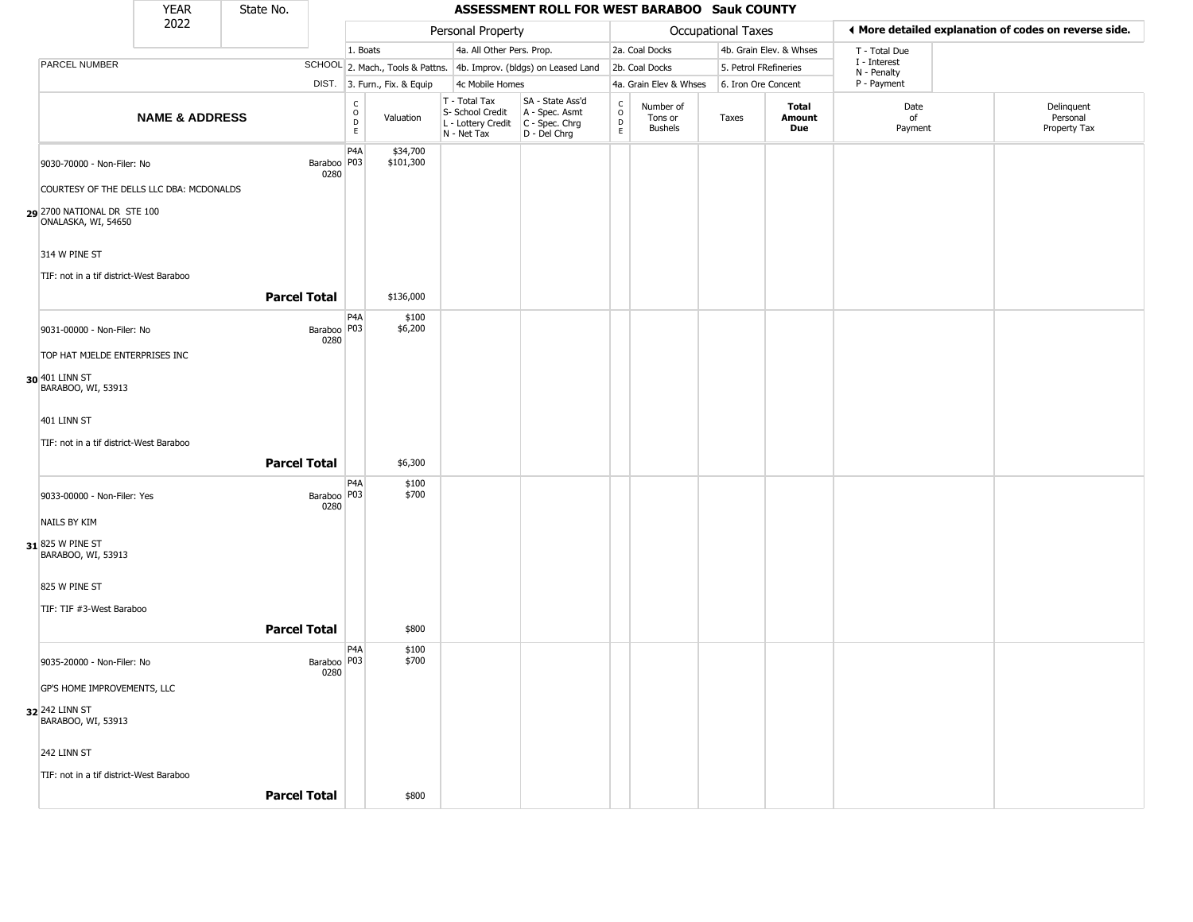|                                                 | <b>YEAR</b>               | State No.           |                       |                                   |                                  |                                                                        | ASSESSMENT ROLL FOR WEST BARABOO Sauk COUNTY                         |                                                          |                                        |                    |                         |                             |                                                       |
|-------------------------------------------------|---------------------------|---------------------|-----------------------|-----------------------------------|----------------------------------|------------------------------------------------------------------------|----------------------------------------------------------------------|----------------------------------------------------------|----------------------------------------|--------------------|-------------------------|-----------------------------|-------------------------------------------------------|
|                                                 | 2022                      |                     |                       |                                   |                                  | Personal Property                                                      |                                                                      |                                                          |                                        | Occupational Taxes |                         |                             | ◀ More detailed explanation of codes on reverse side. |
|                                                 |                           |                     |                       | 1. Boats                          |                                  | 4a. All Other Pers. Prop.                                              |                                                                      |                                                          | 2a. Coal Docks                         |                    | 4b. Grain Elev. & Whses | T - Total Due               |                                                       |
| PARCEL NUMBER                                   |                           |                     |                       |                                   | SCHOOL 2. Mach., Tools & Pattns. |                                                                        | 4b. Improv. (bldgs) on Leased Land                                   |                                                          | 2b. Coal Docks                         |                    | 5. Petrol FRefineries   | I - Interest<br>N - Penalty |                                                       |
|                                                 |                           |                     |                       |                                   | DIST. 3. Furn., Fix. & Equip     | 4c Mobile Homes                                                        |                                                                      |                                                          | 4a. Grain Elev & Whses                 |                    | 6. Iron Ore Concent     | P - Payment                 |                                                       |
|                                                 | <b>NAME &amp; ADDRESS</b> |                     |                       | $\frac{C}{O}$<br>$\mathsf D$<br>E | Valuation                        | T - Total Tax<br>S- School Credit<br>L - Lottery Credit<br>N - Net Tax | SA - State Ass'd<br>A - Spec. Asmt<br>C - Spec. Chrg<br>D - Del Chrg | $\begin{matrix} 0 \\ 0 \\ D \end{matrix}$<br>$\mathsf E$ | Number of<br>Tons or<br><b>Bushels</b> | Taxes              | Total<br>Amount<br>Due  | Date<br>of<br>Payment       | Delinquent<br>Personal<br>Property Tax                |
| 9030-70000 - Non-Filer: No                      |                           |                     | Baraboo   P03<br>0280 | P4A                               | \$34,700<br>\$101,300            |                                                                        |                                                                      |                                                          |                                        |                    |                         |                             |                                                       |
| COURTESY OF THE DELLS LLC DBA: MCDONALDS        |                           |                     |                       |                                   |                                  |                                                                        |                                                                      |                                                          |                                        |                    |                         |                             |                                                       |
| 2700 NATIONAL DR STE 100<br>ONALASKA, WI, 54650 |                           |                     |                       |                                   |                                  |                                                                        |                                                                      |                                                          |                                        |                    |                         |                             |                                                       |
| 314 W PINE ST                                   |                           |                     |                       |                                   |                                  |                                                                        |                                                                      |                                                          |                                        |                    |                         |                             |                                                       |
| TIF: not in a tif district-West Baraboo         |                           | <b>Parcel Total</b> |                       |                                   | \$136,000                        |                                                                        |                                                                      |                                                          |                                        |                    |                         |                             |                                                       |
| 9031-00000 - Non-Filer: No                      |                           |                     | Baraboo<br>0280       | P <sub>4</sub> A<br>P03           | \$100<br>\$6,200                 |                                                                        |                                                                      |                                                          |                                        |                    |                         |                             |                                                       |
| TOP HAT MJELDE ENTERPRISES INC                  |                           |                     |                       |                                   |                                  |                                                                        |                                                                      |                                                          |                                        |                    |                         |                             |                                                       |
| 30 401 LINN ST<br>BARABOO, WI, 53913            |                           |                     |                       |                                   |                                  |                                                                        |                                                                      |                                                          |                                        |                    |                         |                             |                                                       |
| 401 LINN ST                                     |                           |                     |                       |                                   |                                  |                                                                        |                                                                      |                                                          |                                        |                    |                         |                             |                                                       |
| TIF: not in a tif district-West Baraboo         |                           |                     |                       |                                   |                                  |                                                                        |                                                                      |                                                          |                                        |                    |                         |                             |                                                       |
|                                                 |                           | <b>Parcel Total</b> |                       |                                   | \$6,300                          |                                                                        |                                                                      |                                                          |                                        |                    |                         |                             |                                                       |
| 9033-00000 - Non-Filer: Yes                     |                           |                     | Baraboo   P03<br>0280 | P4A                               | \$100<br>\$700                   |                                                                        |                                                                      |                                                          |                                        |                    |                         |                             |                                                       |
| NAILS BY KIM                                    |                           |                     |                       |                                   |                                  |                                                                        |                                                                      |                                                          |                                        |                    |                         |                             |                                                       |
| 31 825 W PINE ST<br>BARABOO, WI, 53913          |                           |                     |                       |                                   |                                  |                                                                        |                                                                      |                                                          |                                        |                    |                         |                             |                                                       |
| 825 W PINE ST                                   |                           |                     |                       |                                   |                                  |                                                                        |                                                                      |                                                          |                                        |                    |                         |                             |                                                       |
| TIF: TIF #3-West Baraboo                        |                           |                     |                       |                                   |                                  |                                                                        |                                                                      |                                                          |                                        |                    |                         |                             |                                                       |
|                                                 |                           |                     |                       |                                   |                                  |                                                                        |                                                                      |                                                          |                                        |                    |                         |                             |                                                       |
|                                                 |                           | <b>Parcel Total</b> |                       |                                   | \$800                            |                                                                        |                                                                      |                                                          |                                        |                    |                         |                             |                                                       |
| 9035-20000 - Non-Filer: No                      |                           |                     | Baraboo   P03<br>0280 | P <sub>4</sub> A                  | \$100<br>\$700                   |                                                                        |                                                                      |                                                          |                                        |                    |                         |                             |                                                       |
| GP'S HOME IMPROVEMENTS, LLC                     |                           |                     |                       |                                   |                                  |                                                                        |                                                                      |                                                          |                                        |                    |                         |                             |                                                       |
| 32 242 LINN ST<br>BARABOO, WI, 53913            |                           |                     |                       |                                   |                                  |                                                                        |                                                                      |                                                          |                                        |                    |                         |                             |                                                       |
| 242 LINN ST                                     |                           |                     |                       |                                   |                                  |                                                                        |                                                                      |                                                          |                                        |                    |                         |                             |                                                       |
| TIF: not in a tif district-West Baraboo         |                           |                     |                       |                                   |                                  |                                                                        |                                                                      |                                                          |                                        |                    |                         |                             |                                                       |
|                                                 |                           | <b>Parcel Total</b> |                       |                                   | \$800                            |                                                                        |                                                                      |                                                          |                                        |                    |                         |                             |                                                       |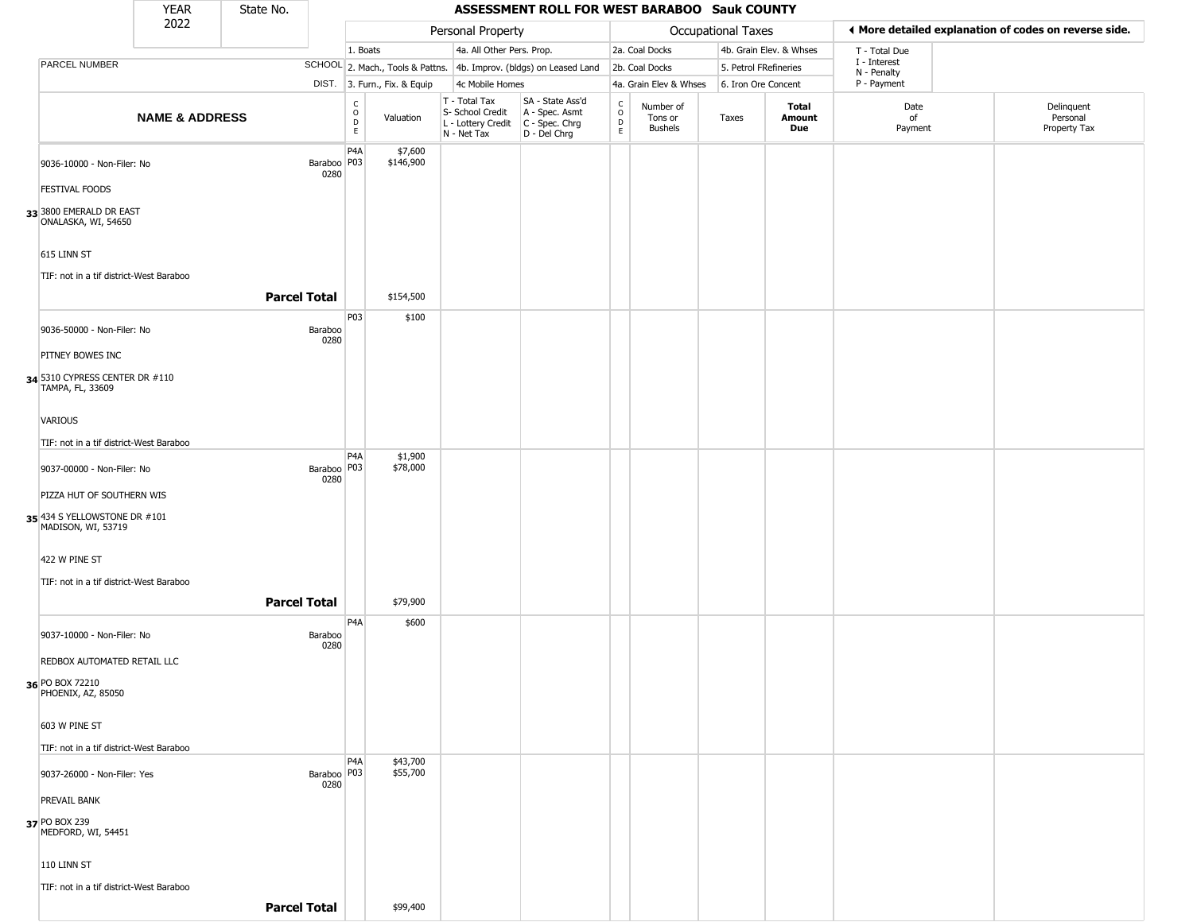|                                                    | <b>YEAR</b>               | State No.           |                       |                                             |                              |                                                  | ASSESSMENT ROLL FOR WEST BARABOO Sauk COUNTY                                                  |                         |                                        |                       |                         |                             |                                                       |
|----------------------------------------------------|---------------------------|---------------------|-----------------------|---------------------------------------------|------------------------------|--------------------------------------------------|-----------------------------------------------------------------------------------------------|-------------------------|----------------------------------------|-----------------------|-------------------------|-----------------------------|-------------------------------------------------------|
|                                                    | 2022                      |                     |                       |                                             |                              | Personal Property                                |                                                                                               |                         |                                        | Occupational Taxes    |                         |                             | I More detailed explanation of codes on reverse side. |
|                                                    |                           |                     |                       | 1. Boats                                    |                              | 4a. All Other Pers. Prop.                        |                                                                                               |                         | 2a. Coal Docks                         |                       | 4b. Grain Elev. & Whses | T - Total Due               |                                                       |
| PARCEL NUMBER                                      |                           |                     |                       |                                             |                              |                                                  | SCHOOL 2. Mach., Tools & Pattns. 4b. Improv. (bldgs) on Leased Land                           |                         | 2b. Coal Docks                         | 5. Petrol FRefineries |                         | I - Interest<br>N - Penalty |                                                       |
|                                                    |                           |                     |                       |                                             | DIST. 3. Furn., Fix. & Equip | 4c Mobile Homes                                  |                                                                                               |                         | 4a. Grain Elev & Whses                 | 6. Iron Ore Concent   |                         | P - Payment                 |                                                       |
|                                                    | <b>NAME &amp; ADDRESS</b> |                     |                       | $\frac{C}{O}$<br>$\mathsf D$<br>$\mathsf E$ | Valuation                    | T - Total Tax<br>S- School Credit<br>N - Net Tax | SA - State Ass'd<br>A - Spec. Asmt<br>$L$ - Lottery Credit $C$ - Spec. Chrg<br>$D - Del Chrg$ | C<br>$\circ$<br>D<br>E. | Number of<br>Tons or<br><b>Bushels</b> | Taxes                 | Total<br>Amount<br>Due  | Date<br>of<br>Payment       | Delinquent<br>Personal<br>Property Tax                |
| 9036-10000 - Non-Filer: No                         |                           |                     | Baraboo   P03         | P4A                                         | \$7,600<br>\$146,900         |                                                  |                                                                                               |                         |                                        |                       |                         |                             |                                                       |
| <b>FESTIVAL FOODS</b>                              |                           |                     | 0280                  |                                             |                              |                                                  |                                                                                               |                         |                                        |                       |                         |                             |                                                       |
| 33 3800 EMERALD DR EAST<br>ONALASKA, WI, 54650     |                           |                     |                       |                                             |                              |                                                  |                                                                                               |                         |                                        |                       |                         |                             |                                                       |
| 615 LINN ST                                        |                           |                     |                       |                                             |                              |                                                  |                                                                                               |                         |                                        |                       |                         |                             |                                                       |
| TIF: not in a tif district-West Baraboo            |                           | <b>Parcel Total</b> |                       |                                             | \$154,500                    |                                                  |                                                                                               |                         |                                        |                       |                         |                             |                                                       |
|                                                    |                           |                     |                       | P03                                         | \$100                        |                                                  |                                                                                               |                         |                                        |                       |                         |                             |                                                       |
| 9036-50000 - Non-Filer: No                         |                           |                     | Baraboo<br>0280       |                                             |                              |                                                  |                                                                                               |                         |                                        |                       |                         |                             |                                                       |
| PITNEY BOWES INC                                   |                           |                     |                       |                                             |                              |                                                  |                                                                                               |                         |                                        |                       |                         |                             |                                                       |
| 34 5310 CYPRESS CENTER DR #110<br>TAMPA, FL, 33609 |                           |                     |                       |                                             |                              |                                                  |                                                                                               |                         |                                        |                       |                         |                             |                                                       |
| <b>VARIOUS</b>                                     |                           |                     |                       |                                             |                              |                                                  |                                                                                               |                         |                                        |                       |                         |                             |                                                       |
| TIF: not in a tif district-West Baraboo            |                           |                     |                       |                                             |                              |                                                  |                                                                                               |                         |                                        |                       |                         |                             |                                                       |
| 9037-00000 - Non-Filer: No                         |                           |                     | Baraboo   P03<br>0280 | P4A                                         | \$1,900<br>\$78,000          |                                                  |                                                                                               |                         |                                        |                       |                         |                             |                                                       |
| PIZZA HUT OF SOUTHERN WIS                          |                           |                     |                       |                                             |                              |                                                  |                                                                                               |                         |                                        |                       |                         |                             |                                                       |
| 35 434 S YELLOWSTONE DR #101<br>MADISON, WI, 53719 |                           |                     |                       |                                             |                              |                                                  |                                                                                               |                         |                                        |                       |                         |                             |                                                       |
| 422 W PINE ST                                      |                           |                     |                       |                                             |                              |                                                  |                                                                                               |                         |                                        |                       |                         |                             |                                                       |
| TIF: not in a tif district-West Baraboo            |                           |                     |                       |                                             |                              |                                                  |                                                                                               |                         |                                        |                       |                         |                             |                                                       |
|                                                    |                           | <b>Parcel Total</b> |                       |                                             | \$79,900                     |                                                  |                                                                                               |                         |                                        |                       |                         |                             |                                                       |
| 9037-10000 - Non-Filer: No                         |                           |                     | Baraboo<br>0280       | P4A                                         | \$600                        |                                                  |                                                                                               |                         |                                        |                       |                         |                             |                                                       |
| REDBOX AUTOMATED RETAIL LLC                        |                           |                     |                       |                                             |                              |                                                  |                                                                                               |                         |                                        |                       |                         |                             |                                                       |
| 36 PO BOX 72210<br>PHOENIX, AZ, 85050              |                           |                     |                       |                                             |                              |                                                  |                                                                                               |                         |                                        |                       |                         |                             |                                                       |
| 603 W PINE ST                                      |                           |                     |                       |                                             |                              |                                                  |                                                                                               |                         |                                        |                       |                         |                             |                                                       |
| TIF: not in a tif district-West Baraboo            |                           |                     |                       |                                             |                              |                                                  |                                                                                               |                         |                                        |                       |                         |                             |                                                       |
| 9037-26000 - Non-Filer: Yes                        |                           |                     | Baraboo   P03<br>0280 | P <sub>4</sub> A                            | \$43,700<br>\$55,700         |                                                  |                                                                                               |                         |                                        |                       |                         |                             |                                                       |
| PREVAIL BANK                                       |                           |                     |                       |                                             |                              |                                                  |                                                                                               |                         |                                        |                       |                         |                             |                                                       |
| 37 PO BOX 239<br>MEDFORD, WI, 54451                |                           |                     |                       |                                             |                              |                                                  |                                                                                               |                         |                                        |                       |                         |                             |                                                       |
| 110 LINN ST                                        |                           |                     |                       |                                             |                              |                                                  |                                                                                               |                         |                                        |                       |                         |                             |                                                       |
| TIF: not in a tif district-West Baraboo            |                           | <b>Parcel Total</b> |                       |                                             | \$99,400                     |                                                  |                                                                                               |                         |                                        |                       |                         |                             |                                                       |
|                                                    |                           |                     |                       |                                             |                              |                                                  |                                                                                               |                         |                                        |                       |                         |                             |                                                       |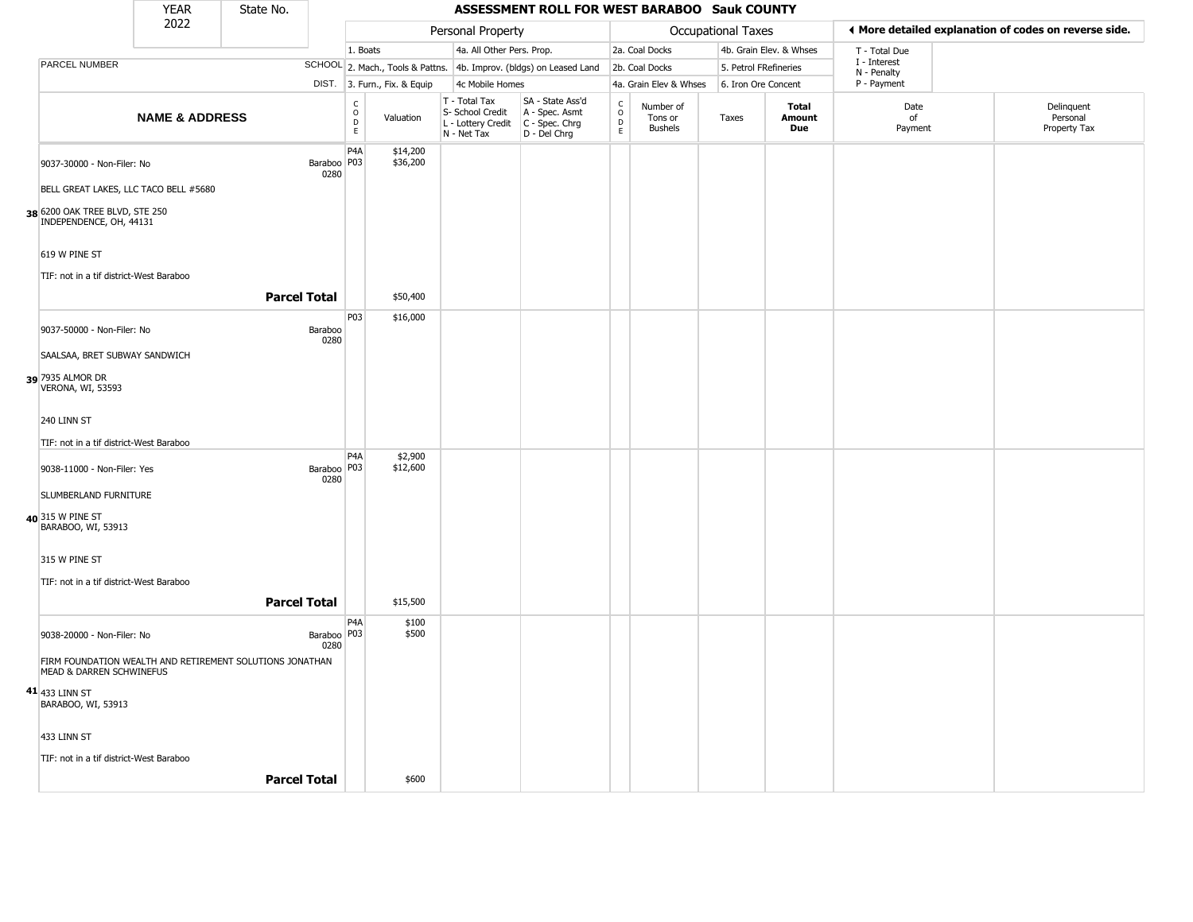|                                                                                      | <b>YEAR</b>               | State No.           |                       |                                   |                              |                                                                        | ASSESSMENT ROLL FOR WEST BARABOO Sauk COUNTY                         |                                   |                                        |                           |                         |                             |                                                       |
|--------------------------------------------------------------------------------------|---------------------------|---------------------|-----------------------|-----------------------------------|------------------------------|------------------------------------------------------------------------|----------------------------------------------------------------------|-----------------------------------|----------------------------------------|---------------------------|-------------------------|-----------------------------|-------------------------------------------------------|
|                                                                                      | 2022                      |                     |                       |                                   |                              | Personal Property                                                      |                                                                      |                                   |                                        | <b>Occupational Taxes</b> |                         |                             | I More detailed explanation of codes on reverse side. |
|                                                                                      |                           |                     |                       | 1. Boats                          |                              | 4a. All Other Pers. Prop.                                              |                                                                      |                                   | 2a. Coal Docks                         |                           | 4b. Grain Elev. & Whses | T - Total Due               |                                                       |
| PARCEL NUMBER                                                                        |                           |                     |                       |                                   |                              |                                                                        | SCHOOL 2. Mach., Tools & Pattns. 4b. Improv. (bldgs) on Leased Land  |                                   | 2b. Coal Docks                         |                           | 5. Petrol FRefineries   | I - Interest<br>N - Penalty |                                                       |
|                                                                                      |                           |                     |                       |                                   | DIST. 3. Furn., Fix. & Equip | 4c Mobile Homes                                                        |                                                                      |                                   | 4a. Grain Elev & Whses                 |                           | 6. Iron Ore Concent     | P - Payment                 |                                                       |
|                                                                                      | <b>NAME &amp; ADDRESS</b> |                     |                       | $\frac{c}{0}$<br>$\mathsf D$<br>E | Valuation                    | T - Total Tax<br>S- School Credit<br>L - Lottery Credit<br>N - Net Tax | SA - State Ass'd<br>A - Spec. Asmt<br>C - Spec. Chrg<br>D - Del Chrg | $\frac{c}{0}$<br>$\mathsf D$<br>E | Number of<br>Tons or<br><b>Bushels</b> | Taxes                     | Total<br>Amount<br>Due  | Date<br>of<br>Payment       | Delinquent<br>Personal<br>Property Tax                |
| 9037-30000 - Non-Filer: No<br>BELL GREAT LAKES, LLC TACO BELL #5680                  |                           |                     | Baraboo   P03<br>0280 | P <sub>4</sub> A                  | \$14,200<br>\$36,200         |                                                                        |                                                                      |                                   |                                        |                           |                         |                             |                                                       |
|                                                                                      |                           |                     |                       |                                   |                              |                                                                        |                                                                      |                                   |                                        |                           |                         |                             |                                                       |
| 38 6200 OAK TREE BLVD, STE 250<br>INDEPENDENCE, OH, 44131                            |                           |                     |                       |                                   |                              |                                                                        |                                                                      |                                   |                                        |                           |                         |                             |                                                       |
| 619 W PINE ST                                                                        |                           |                     |                       |                                   |                              |                                                                        |                                                                      |                                   |                                        |                           |                         |                             |                                                       |
| TIF: not in a tif district-West Baraboo                                              |                           |                     |                       |                                   |                              |                                                                        |                                                                      |                                   |                                        |                           |                         |                             |                                                       |
|                                                                                      |                           | <b>Parcel Total</b> |                       |                                   | \$50,400                     |                                                                        |                                                                      |                                   |                                        |                           |                         |                             |                                                       |
| 9037-50000 - Non-Filer: No                                                           |                           |                     | Baraboo<br>0280       | P03                               | \$16,000                     |                                                                        |                                                                      |                                   |                                        |                           |                         |                             |                                                       |
| SAALSAA, BRET SUBWAY SANDWICH                                                        |                           |                     |                       |                                   |                              |                                                                        |                                                                      |                                   |                                        |                           |                         |                             |                                                       |
| 39 7935 ALMOR DR<br>VERONA, WI, 53593                                                |                           |                     |                       |                                   |                              |                                                                        |                                                                      |                                   |                                        |                           |                         |                             |                                                       |
| 240 LINN ST                                                                          |                           |                     |                       |                                   |                              |                                                                        |                                                                      |                                   |                                        |                           |                         |                             |                                                       |
| TIF: not in a tif district-West Baraboo                                              |                           |                     |                       |                                   |                              |                                                                        |                                                                      |                                   |                                        |                           |                         |                             |                                                       |
| 9038-11000 - Non-Filer: Yes                                                          |                           |                     | Baraboo   P03<br>0280 | P <sub>4</sub> A                  | \$2,900<br>\$12,600          |                                                                        |                                                                      |                                   |                                        |                           |                         |                             |                                                       |
| SLUMBERLAND FURNITURE                                                                |                           |                     |                       |                                   |                              |                                                                        |                                                                      |                                   |                                        |                           |                         |                             |                                                       |
| 40 315 W PINE ST<br>BARABOO, WI, 53913                                               |                           |                     |                       |                                   |                              |                                                                        |                                                                      |                                   |                                        |                           |                         |                             |                                                       |
| 315 W PINE ST                                                                        |                           |                     |                       |                                   |                              |                                                                        |                                                                      |                                   |                                        |                           |                         |                             |                                                       |
| TIF: not in a tif district-West Baraboo                                              |                           |                     |                       |                                   |                              |                                                                        |                                                                      |                                   |                                        |                           |                         |                             |                                                       |
|                                                                                      |                           | <b>Parcel Total</b> |                       |                                   | \$15,500                     |                                                                        |                                                                      |                                   |                                        |                           |                         |                             |                                                       |
| 9038-20000 - Non-Filer: No                                                           |                           |                     | Baraboo P03<br>0280   | P <sub>4</sub> A                  | \$100<br>\$500               |                                                                        |                                                                      |                                   |                                        |                           |                         |                             |                                                       |
| FIRM FOUNDATION WEALTH AND RETIREMENT SOLUTIONS JONATHAN<br>MEAD & DARREN SCHWINEFUS |                           |                     |                       |                                   |                              |                                                                        |                                                                      |                                   |                                        |                           |                         |                             |                                                       |
| $41\!\!\mid$ 433 linn st<br>BARABOO, WI, 53913                                       |                           |                     |                       |                                   |                              |                                                                        |                                                                      |                                   |                                        |                           |                         |                             |                                                       |
| 433 LINN ST                                                                          |                           |                     |                       |                                   |                              |                                                                        |                                                                      |                                   |                                        |                           |                         |                             |                                                       |
| TIF: not in a tif district-West Baraboo                                              |                           |                     |                       |                                   |                              |                                                                        |                                                                      |                                   |                                        |                           |                         |                             |                                                       |
|                                                                                      |                           | <b>Parcel Total</b> |                       |                                   | \$600                        |                                                                        |                                                                      |                                   |                                        |                           |                         |                             |                                                       |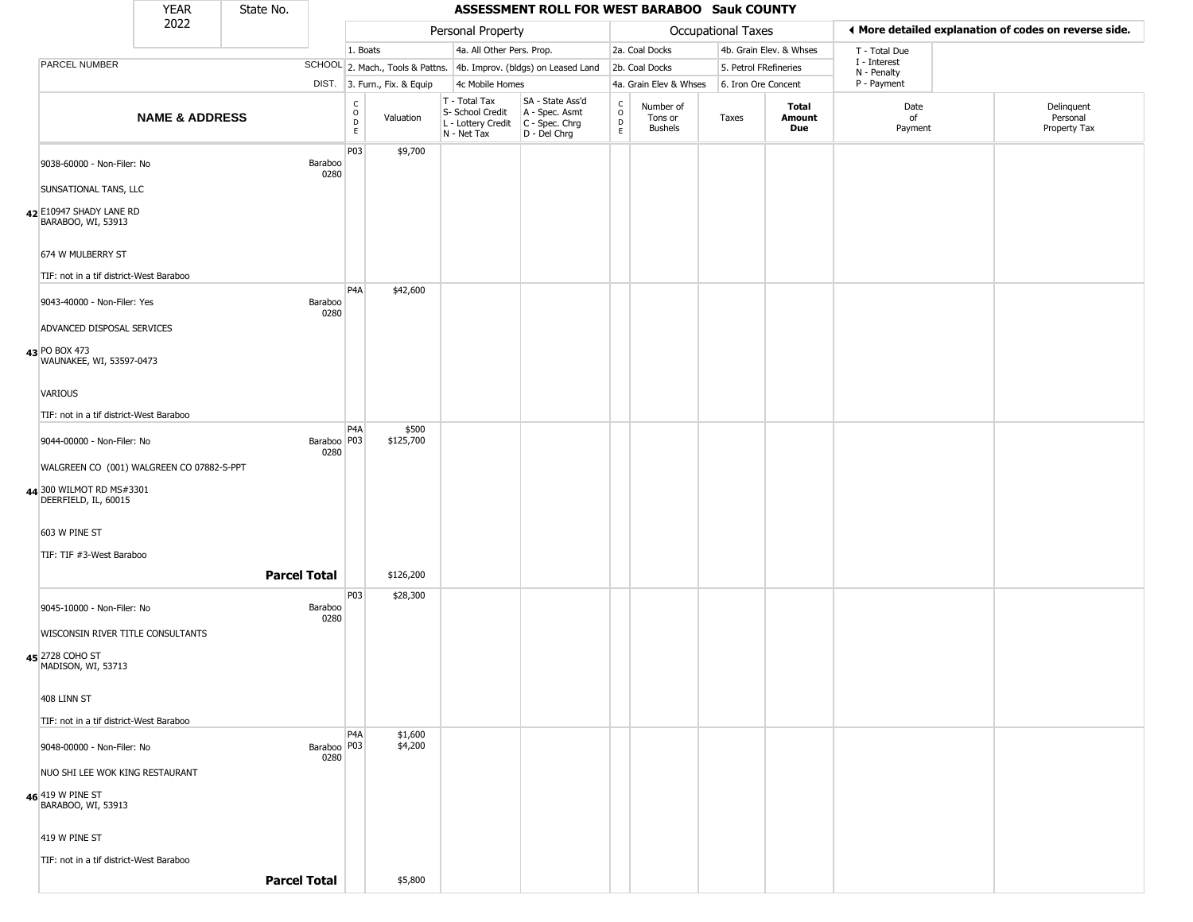|                                                                           | <b>YEAR</b>                               | State No. |                       |                                            |                              |                                                  | ASSESSMENT ROLL FOR WEST BARABOO Sauk COUNTY                                              |                                                 |                                        |                       |                         |                             |                                                       |
|---------------------------------------------------------------------------|-------------------------------------------|-----------|-----------------------|--------------------------------------------|------------------------------|--------------------------------------------------|-------------------------------------------------------------------------------------------|-------------------------------------------------|----------------------------------------|-----------------------|-------------------------|-----------------------------|-------------------------------------------------------|
|                                                                           | 2022                                      |           |                       |                                            |                              | Personal Property                                |                                                                                           |                                                 |                                        | Occupational Taxes    |                         |                             | ♦ More detailed explanation of codes on reverse side. |
|                                                                           |                                           |           |                       | 1. Boats                                   |                              | 4a. All Other Pers. Prop.                        |                                                                                           |                                                 | 2a. Coal Docks                         |                       | 4b. Grain Elev. & Whses | T - Total Due               |                                                       |
| PARCEL NUMBER                                                             |                                           |           |                       |                                            |                              |                                                  | SCHOOL 2. Mach., Tools & Pattns. 4b. Improv. (bldgs) on Leased Land                       |                                                 | 2b. Coal Docks                         | 5. Petrol FRefineries |                         | I - Interest<br>N - Penalty |                                                       |
|                                                                           |                                           |           |                       |                                            | DIST. 3. Furn., Fix. & Equip | 4c Mobile Homes                                  |                                                                                           |                                                 | 4a. Grain Elev & Whses                 | 6. Iron Ore Concent   |                         | P - Payment                 |                                                       |
|                                                                           | <b>NAME &amp; ADDRESS</b>                 |           |                       | $\begin{array}{c} C \\ 0 \\ E \end{array}$ | Valuation                    | T - Total Tax<br>S- School Credit<br>N - Net Tax | SA - State Ass'd<br>A - Spec. Asmt<br>L - Lottery Credit   C - Spec. Chrg<br>D - Del Chrg | $\begin{array}{c} C \\ O \\ D \\ E \end{array}$ | Number of<br>Tons or<br><b>Bushels</b> | Taxes                 | Total<br>Amount<br>Due  | Date<br>of<br>Payment       | Delinquent<br>Personal<br>Property Tax                |
| 9038-60000 - Non-Filer: No<br>SUNSATIONAL TANS, LLC                       |                                           |           | Baraboo<br>0280       | P03                                        | \$9,700                      |                                                  |                                                                                           |                                                 |                                        |                       |                         |                             |                                                       |
| 42 E10947 SHADY LANE RD<br>BARABOO, WI, 53913                             |                                           |           |                       |                                            |                              |                                                  |                                                                                           |                                                 |                                        |                       |                         |                             |                                                       |
| 674 W MULBERRY ST<br>TIF: not in a tif district-West Baraboo              |                                           |           |                       | P <sub>4</sub> A                           | \$42,600                     |                                                  |                                                                                           |                                                 |                                        |                       |                         |                             |                                                       |
| 9043-40000 - Non-Filer: Yes<br>ADVANCED DISPOSAL SERVICES                 |                                           |           | Baraboo<br>0280       |                                            |                              |                                                  |                                                                                           |                                                 |                                        |                       |                         |                             |                                                       |
| 43 PO BOX 473<br>WAUNAKEE, WI, 53597-0473                                 |                                           |           |                       |                                            |                              |                                                  |                                                                                           |                                                 |                                        |                       |                         |                             |                                                       |
| VARIOUS<br>TIF: not in a tif district-West Baraboo                        |                                           |           |                       |                                            |                              |                                                  |                                                                                           |                                                 |                                        |                       |                         |                             |                                                       |
| 9044-00000 - Non-Filer: No                                                |                                           |           | Baraboo   P03<br>0280 | P <sub>4</sub> A                           | \$500<br>\$125,700           |                                                  |                                                                                           |                                                 |                                        |                       |                         |                             |                                                       |
| 44 300 WILMOT RD MS#3301<br>DEERFIELD, IL, 60015                          | WALGREEN CO (001) WALGREEN CO 07882-S-PPT |           |                       |                                            |                              |                                                  |                                                                                           |                                                 |                                        |                       |                         |                             |                                                       |
| 603 W PINE ST<br>TIF: TIF #3-West Baraboo                                 |                                           |           |                       |                                            |                              |                                                  |                                                                                           |                                                 |                                        |                       |                         |                             |                                                       |
|                                                                           |                                           |           | <b>Parcel Total</b>   | P03                                        | \$126,200<br>\$28,300        |                                                  |                                                                                           |                                                 |                                        |                       |                         |                             |                                                       |
| 9045-10000 - Non-Filer: No<br>WISCONSIN RIVER TITLE CONSULTANTS           |                                           |           | Baraboo<br>0280       |                                            |                              |                                                  |                                                                                           |                                                 |                                        |                       |                         |                             |                                                       |
| 45 2728 COHO ST<br>MADISON, WI, 53713                                     |                                           |           |                       |                                            |                              |                                                  |                                                                                           |                                                 |                                        |                       |                         |                             |                                                       |
| 408 LINN ST<br>TIF: not in a tif district-West Baraboo                    |                                           |           |                       |                                            |                              |                                                  |                                                                                           |                                                 |                                        |                       |                         |                             |                                                       |
| 9048-00000 - Non-Filer: No                                                |                                           |           | Baraboo   P03<br>0280 | P <sub>4</sub> A                           | \$1,600<br>\$4,200           |                                                  |                                                                                           |                                                 |                                        |                       |                         |                             |                                                       |
| NUO SHI LEE WOK KING RESTAURANT<br>46 419 W PINE ST<br>BARABOO, WI, 53913 |                                           |           |                       |                                            |                              |                                                  |                                                                                           |                                                 |                                        |                       |                         |                             |                                                       |
| 419 W PINE ST                                                             |                                           |           |                       |                                            |                              |                                                  |                                                                                           |                                                 |                                        |                       |                         |                             |                                                       |
| TIF: not in a tif district-West Baraboo                                   |                                           |           | <b>Parcel Total</b>   |                                            | \$5,800                      |                                                  |                                                                                           |                                                 |                                        |                       |                         |                             |                                                       |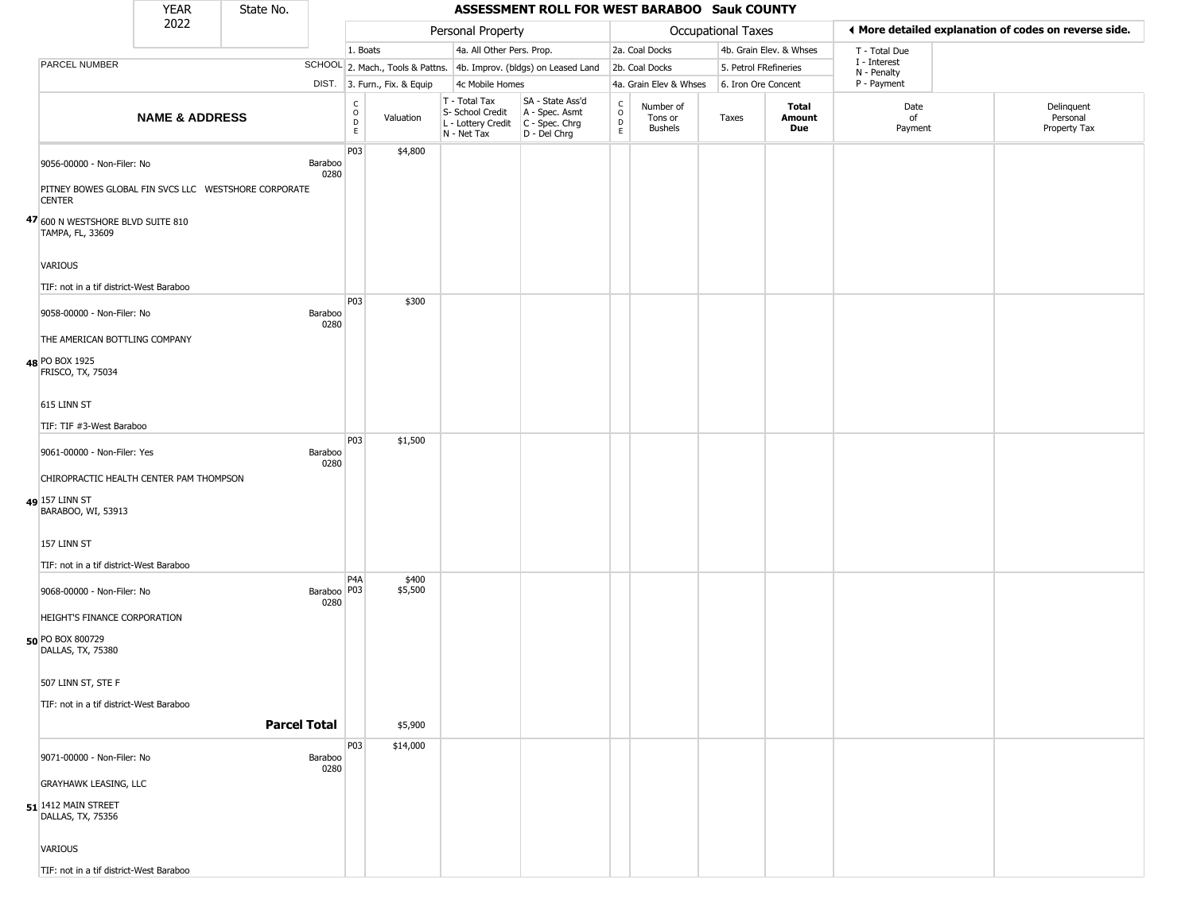|                                                                                                     | <b>YEAR</b>               | State No. |                       |                      |                              |                                                                        | ASSESSMENT ROLL FOR WEST BARABOO Sauk COUNTY                           |                                                          |                                        |                       |                         |                             |                                                       |
|-----------------------------------------------------------------------------------------------------|---------------------------|-----------|-----------------------|----------------------|------------------------------|------------------------------------------------------------------------|------------------------------------------------------------------------|----------------------------------------------------------|----------------------------------------|-----------------------|-------------------------|-----------------------------|-------------------------------------------------------|
|                                                                                                     | 2022                      |           |                       |                      |                              | Personal Property                                                      |                                                                        |                                                          |                                        | Occupational Taxes    |                         |                             | ♦ More detailed explanation of codes on reverse side. |
|                                                                                                     |                           |           |                       | 1. Boats             |                              | 4a. All Other Pers. Prop.                                              |                                                                        |                                                          | 2a. Coal Docks                         |                       | 4b. Grain Elev. & Whses | T - Total Due               |                                                       |
| PARCEL NUMBER                                                                                       |                           |           |                       |                      |                              |                                                                        | SCHOOL 2. Mach., Tools & Pattns. 4b. Improv. (bldgs) on Leased Land    |                                                          | 2b. Coal Docks                         | 5. Petrol FRefineries |                         | I - Interest<br>N - Penalty |                                                       |
|                                                                                                     |                           |           |                       |                      | DIST. 3. Furn., Fix. & Equip | 4c Mobile Homes                                                        |                                                                        |                                                          | 4a. Grain Elev & Whses                 | 6. Iron Ore Concent   |                         | P - Payment                 |                                                       |
|                                                                                                     | <b>NAME &amp; ADDRESS</b> |           |                       | $\rm _o^C$<br>D<br>E | Valuation                    | T - Total Tax<br>S- School Credit<br>L - Lottery Credit<br>N - Net Tax | SA - State Ass'd<br>A - Spec. Asmt<br>$C - Spec. Chrg$<br>D - Del Chrg | $\begin{matrix} 0 \\ 0 \\ D \end{matrix}$<br>$\mathsf E$ | Number of<br>Tons or<br><b>Bushels</b> | Taxes                 | Total<br>Amount<br>Due  | Date<br>of<br>Payment       | Delinquent<br>Personal<br>Property Tax                |
| 9056-00000 - Non-Filer: No<br>PITNEY BOWES GLOBAL FIN SVCS LLC WESTSHORE CORPORATE<br><b>CENTER</b> |                           |           | Baraboo<br>0280       | P03                  | \$4,800                      |                                                                        |                                                                        |                                                          |                                        |                       |                         |                             |                                                       |
| 47 600 N WESTSHORE BLVD SUITE 810<br>TAMPA, FL, 33609                                               |                           |           |                       |                      |                              |                                                                        |                                                                        |                                                          |                                        |                       |                         |                             |                                                       |
| VARIOUS<br>TIF: not in a tif district-West Baraboo                                                  |                           |           |                       |                      |                              |                                                                        |                                                                        |                                                          |                                        |                       |                         |                             |                                                       |
| 9058-00000 - Non-Filer: No                                                                          |                           |           | Baraboo<br>0280       | P03                  | \$300                        |                                                                        |                                                                        |                                                          |                                        |                       |                         |                             |                                                       |
| THE AMERICAN BOTTLING COMPANY                                                                       |                           |           |                       |                      |                              |                                                                        |                                                                        |                                                          |                                        |                       |                         |                             |                                                       |
| 48 PO BOX 1925<br>FRISCO, TX, 75034                                                                 |                           |           |                       |                      |                              |                                                                        |                                                                        |                                                          |                                        |                       |                         |                             |                                                       |
| 615 LINN ST                                                                                         |                           |           |                       |                      |                              |                                                                        |                                                                        |                                                          |                                        |                       |                         |                             |                                                       |
| TIF: TIF #3-West Baraboo                                                                            |                           |           |                       | P03                  | \$1,500                      |                                                                        |                                                                        |                                                          |                                        |                       |                         |                             |                                                       |
| 9061-00000 - Non-Filer: Yes                                                                         |                           |           | Baraboo<br>0280       |                      |                              |                                                                        |                                                                        |                                                          |                                        |                       |                         |                             |                                                       |
| CHIROPRACTIC HEALTH CENTER PAM THOMPSON                                                             |                           |           |                       |                      |                              |                                                                        |                                                                        |                                                          |                                        |                       |                         |                             |                                                       |
| 49 157 LINN ST<br>BARABOO, WI, 53913                                                                |                           |           |                       |                      |                              |                                                                        |                                                                        |                                                          |                                        |                       |                         |                             |                                                       |
| 157 LINN ST                                                                                         |                           |           |                       |                      |                              |                                                                        |                                                                        |                                                          |                                        |                       |                         |                             |                                                       |
| TIF: not in a tif district-West Baraboo                                                             |                           |           |                       | P <sub>4</sub> A     | \$400                        |                                                                        |                                                                        |                                                          |                                        |                       |                         |                             |                                                       |
| 9068-00000 - Non-Filer: No<br>HEIGHT'S FINANCE CORPORATION                                          |                           |           | Baraboo   P03<br>0280 |                      | \$5,500                      |                                                                        |                                                                        |                                                          |                                        |                       |                         |                             |                                                       |
| 50 PO BOX 800729<br>DALLAS, TX, 75380                                                               |                           |           |                       |                      |                              |                                                                        |                                                                        |                                                          |                                        |                       |                         |                             |                                                       |
| 507 LINN ST, STE F                                                                                  |                           |           |                       |                      |                              |                                                                        |                                                                        |                                                          |                                        |                       |                         |                             |                                                       |
| TIF: not in a tif district-West Baraboo                                                             |                           |           | <b>Parcel Total</b>   |                      | \$5,900                      |                                                                        |                                                                        |                                                          |                                        |                       |                         |                             |                                                       |
| 9071-00000 - Non-Filer: No                                                                          |                           |           | Baraboo               | P03                  | \$14,000                     |                                                                        |                                                                        |                                                          |                                        |                       |                         |                             |                                                       |
| <b>GRAYHAWK LEASING, LLC</b>                                                                        |                           |           | 0280                  |                      |                              |                                                                        |                                                                        |                                                          |                                        |                       |                         |                             |                                                       |
| 51 1412 MAIN STREET<br>DALLAS, TX, 75356                                                            |                           |           |                       |                      |                              |                                                                        |                                                                        |                                                          |                                        |                       |                         |                             |                                                       |
| VARIOUS                                                                                             |                           |           |                       |                      |                              |                                                                        |                                                                        |                                                          |                                        |                       |                         |                             |                                                       |
| TIF: not in a tif district-West Baraboo                                                             |                           |           |                       |                      |                              |                                                                        |                                                                        |                                                          |                                        |                       |                         |                             |                                                       |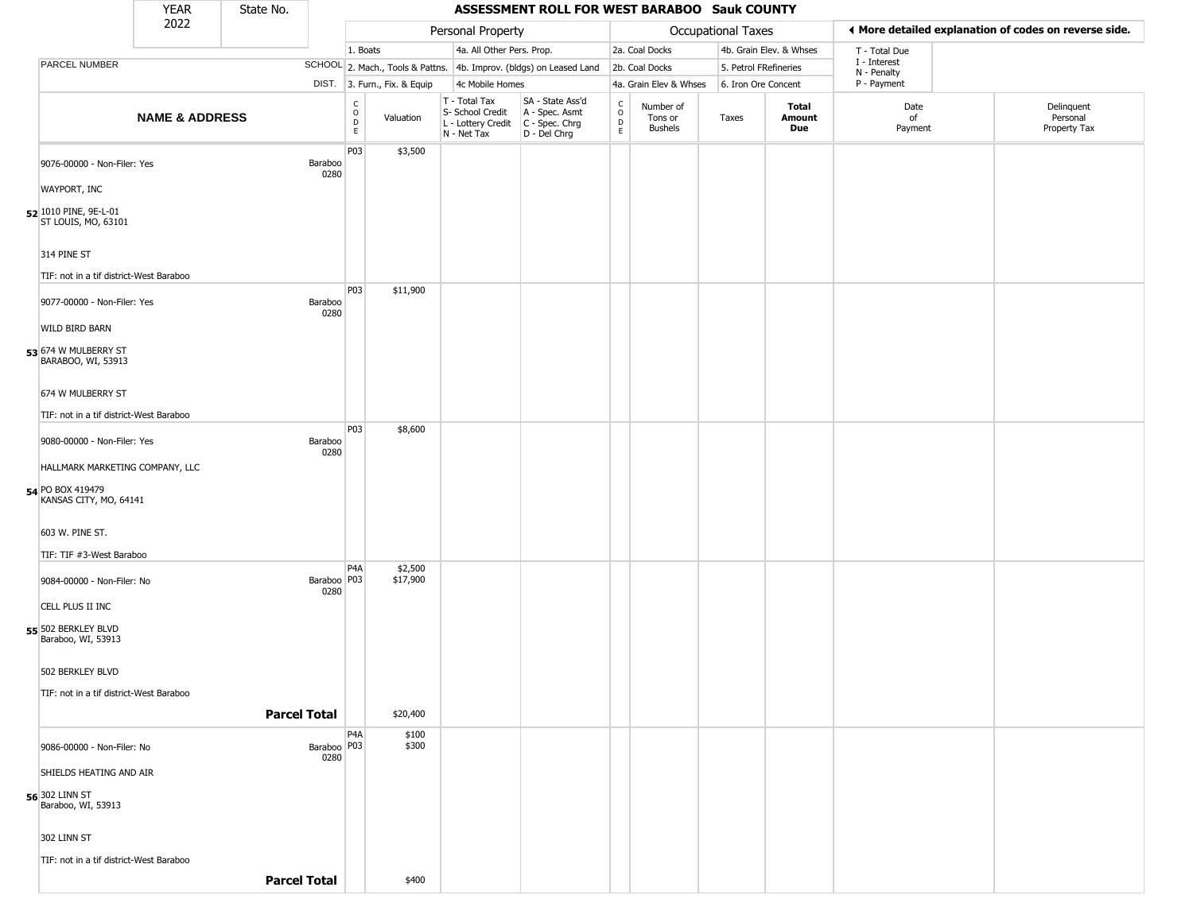|                                                        | <b>YEAR</b>               | State No.           |                         |                                            |                                  |                                                  | ASSESSMENT ROLL FOR WEST BARABOO Sauk COUNTY                                              |                                                 |                                        |                           |                         |                                                       |                                        |
|--------------------------------------------------------|---------------------------|---------------------|-------------------------|--------------------------------------------|----------------------------------|--------------------------------------------------|-------------------------------------------------------------------------------------------|-------------------------------------------------|----------------------------------------|---------------------------|-------------------------|-------------------------------------------------------|----------------------------------------|
|                                                        | 2022                      |                     |                         |                                            |                                  | Personal Property                                |                                                                                           |                                                 |                                        | <b>Occupational Taxes</b> |                         | ◀ More detailed explanation of codes on reverse side. |                                        |
|                                                        |                           |                     |                         | 1. Boats                                   |                                  | 4a. All Other Pers. Prop.                        |                                                                                           |                                                 | 2a. Coal Docks                         |                           | 4b. Grain Elev. & Whses | T - Total Due                                         |                                        |
| PARCEL NUMBER                                          |                           |                     |                         |                                            | SCHOOL 2. Mach., Tools & Pattns. |                                                  | 4b. Improv. (bldgs) on Leased Land                                                        |                                                 | 2b. Coal Docks                         | 5. Petrol FRefineries     |                         | I - Interest<br>N - Penalty                           |                                        |
|                                                        |                           |                     |                         |                                            | DIST. 3. Furn., Fix. & Equip     | 4c Mobile Homes                                  |                                                                                           |                                                 | 4a. Grain Elev & Whses                 | 6. Iron Ore Concent       |                         | P - Payment                                           |                                        |
|                                                        | <b>NAME &amp; ADDRESS</b> |                     |                         | $\begin{array}{c} C \\ 0 \\ E \end{array}$ | Valuation                        | T - Total Tax<br>S- School Credit<br>N - Net Tax | SA - State Ass'd<br>A - Spec. Asmt<br>L - Lottery Credit   C - Spec. Chrg<br>D - Del Chrg | $\begin{array}{c} C \\ O \\ D \\ E \end{array}$ | Number of<br>Tons or<br><b>Bushels</b> | Taxes                     | Total<br>Amount<br>Due  | Date<br>of<br>Payment                                 | Delinquent<br>Personal<br>Property Tax |
| 9076-00000 - Non-Filer: Yes<br><b>WAYPORT, INC</b>     |                           |                     | Baraboo<br>0280         | P03                                        | \$3,500                          |                                                  |                                                                                           |                                                 |                                        |                           |                         |                                                       |                                        |
| 52 1010 PINE, 9E-L-01                                  |                           |                     |                         |                                            |                                  |                                                  |                                                                                           |                                                 |                                        |                           |                         |                                                       |                                        |
| ST LOUIS, MO, 63101                                    |                           |                     |                         |                                            |                                  |                                                  |                                                                                           |                                                 |                                        |                           |                         |                                                       |                                        |
| 314 PINE ST<br>TIF: not in a tif district-West Baraboo |                           |                     |                         |                                            |                                  |                                                  |                                                                                           |                                                 |                                        |                           |                         |                                                       |                                        |
| 9077-00000 - Non-Filer: Yes                            |                           |                     | Baraboo<br>0280         | <b>P03</b>                                 | \$11,900                         |                                                  |                                                                                           |                                                 |                                        |                           |                         |                                                       |                                        |
| WILD BIRD BARN                                         |                           |                     |                         |                                            |                                  |                                                  |                                                                                           |                                                 |                                        |                           |                         |                                                       |                                        |
| 53 674 W MULBERRY ST<br>BARABOO, WI, 53913             |                           |                     |                         |                                            |                                  |                                                  |                                                                                           |                                                 |                                        |                           |                         |                                                       |                                        |
| 674 W MULBERRY ST                                      |                           |                     |                         |                                            |                                  |                                                  |                                                                                           |                                                 |                                        |                           |                         |                                                       |                                        |
| TIF: not in a tif district-West Baraboo                |                           |                     |                         | <b>P03</b>                                 | \$8,600                          |                                                  |                                                                                           |                                                 |                                        |                           |                         |                                                       |                                        |
| 9080-00000 - Non-Filer: Yes                            |                           |                     | Baraboo<br>0280         |                                            |                                  |                                                  |                                                                                           |                                                 |                                        |                           |                         |                                                       |                                        |
| HALLMARK MARKETING COMPANY, LLC                        |                           |                     |                         |                                            |                                  |                                                  |                                                                                           |                                                 |                                        |                           |                         |                                                       |                                        |
| 54 PO BOX 419479<br>KANSAS CITY, MO, 64141             |                           |                     |                         |                                            |                                  |                                                  |                                                                                           |                                                 |                                        |                           |                         |                                                       |                                        |
| 603 W. PINE ST.                                        |                           |                     |                         |                                            |                                  |                                                  |                                                                                           |                                                 |                                        |                           |                         |                                                       |                                        |
| TIF: TIF #3-West Baraboo                               |                           |                     |                         | P <sub>4</sub> A                           | \$2,500                          |                                                  |                                                                                           |                                                 |                                        |                           |                         |                                                       |                                        |
| 9084-00000 - Non-Filer: No                             |                           |                     | Baraboo   P03<br>0280   |                                            | \$17,900                         |                                                  |                                                                                           |                                                 |                                        |                           |                         |                                                       |                                        |
| CELL PLUS II INC                                       |                           |                     |                         |                                            |                                  |                                                  |                                                                                           |                                                 |                                        |                           |                         |                                                       |                                        |
| 55 502 BERKLEY BLVD<br>Baraboo, WI, 53913              |                           |                     |                         |                                            |                                  |                                                  |                                                                                           |                                                 |                                        |                           |                         |                                                       |                                        |
| 502 BERKLEY BLVD                                       |                           |                     |                         |                                            |                                  |                                                  |                                                                                           |                                                 |                                        |                           |                         |                                                       |                                        |
| TIF: not in a tif district-West Baraboo                |                           |                     |                         |                                            |                                  |                                                  |                                                                                           |                                                 |                                        |                           |                         |                                                       |                                        |
|                                                        |                           | <b>Parcel Total</b> |                         |                                            | \$20,400                         |                                                  |                                                                                           |                                                 |                                        |                           |                         |                                                       |                                        |
| 9086-00000 - Non-Filer: No                             |                           |                     | Baraboo   P03  <br>0280 | P <sub>4</sub> A                           | \$100<br>\$300                   |                                                  |                                                                                           |                                                 |                                        |                           |                         |                                                       |                                        |
| SHIELDS HEATING AND AIR                                |                           |                     |                         |                                            |                                  |                                                  |                                                                                           |                                                 |                                        |                           |                         |                                                       |                                        |
| 56 302 LINN ST<br>Baraboo, WI, 53913                   |                           |                     |                         |                                            |                                  |                                                  |                                                                                           |                                                 |                                        |                           |                         |                                                       |                                        |
| 302 LINN ST                                            |                           |                     |                         |                                            |                                  |                                                  |                                                                                           |                                                 |                                        |                           |                         |                                                       |                                        |
| TIF: not in a tif district-West Baraboo                |                           |                     |                         |                                            |                                  |                                                  |                                                                                           |                                                 |                                        |                           |                         |                                                       |                                        |
|                                                        |                           | <b>Parcel Total</b> |                         |                                            | \$400                            |                                                  |                                                                                           |                                                 |                                        |                           |                         |                                                       |                                        |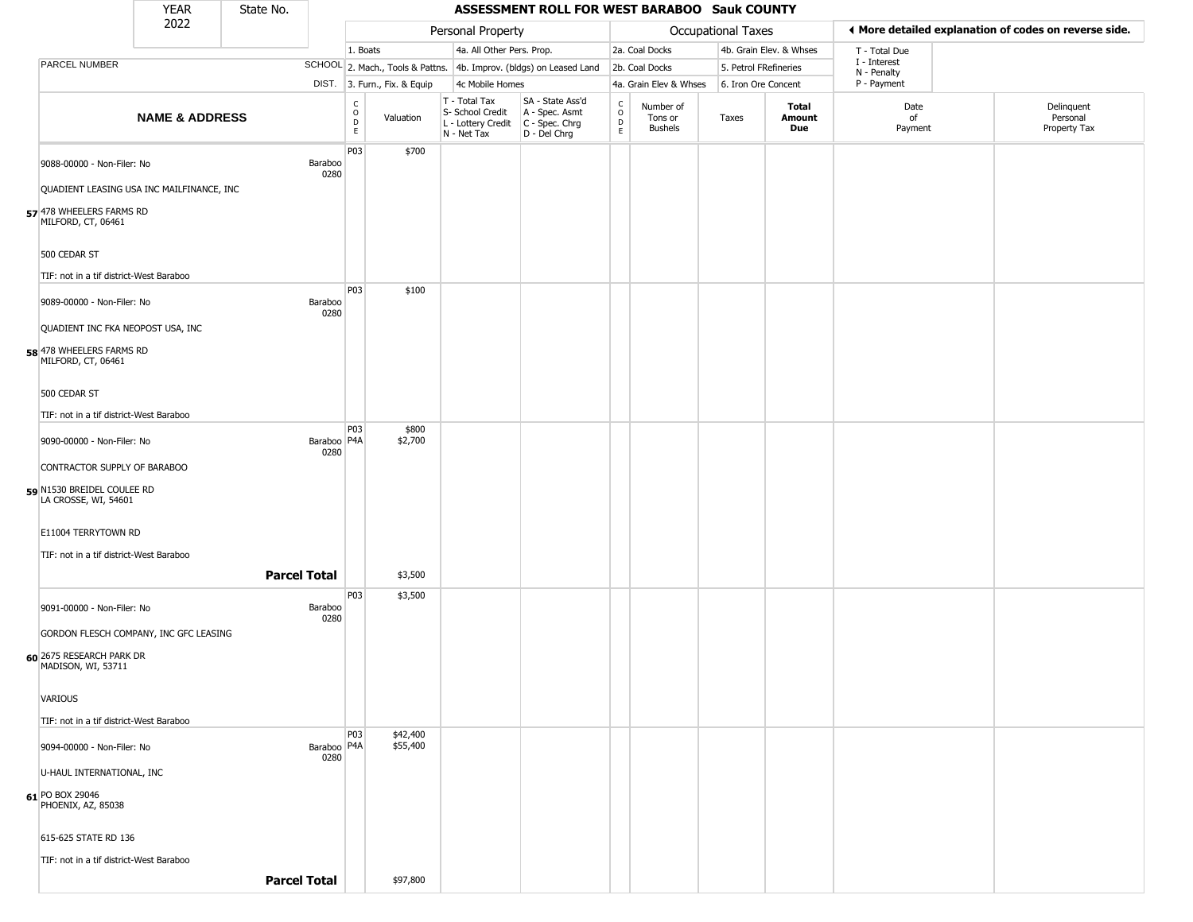|                                                    | <b>YEAR</b>                               | State No. |                       |                                            | ASSESSMENT ROLL FOR WEST BARABOO Sauk COUNTY |                                                                                         |                                                                     |                                              |                                 |                       |                         |                             |                                                       |  |  |  |
|----------------------------------------------------|-------------------------------------------|-----------|-----------------------|--------------------------------------------|----------------------------------------------|-----------------------------------------------------------------------------------------|---------------------------------------------------------------------|----------------------------------------------|---------------------------------|-----------------------|-------------------------|-----------------------------|-------------------------------------------------------|--|--|--|
|                                                    | 2022                                      |           |                       |                                            |                                              | Personal Property                                                                       |                                                                     |                                              |                                 | Occupational Taxes    |                         |                             | ♦ More detailed explanation of codes on reverse side. |  |  |  |
|                                                    |                                           |           |                       | 1. Boats                                   |                                              | 4a. All Other Pers. Prop.                                                               |                                                                     |                                              | 2a. Coal Docks                  |                       | 4b. Grain Elev. & Whses | T - Total Due               |                                                       |  |  |  |
| PARCEL NUMBER                                      |                                           |           |                       |                                            |                                              |                                                                                         | SCHOOL 2. Mach., Tools & Pattns. 4b. Improv. (bldgs) on Leased Land |                                              | 2b. Coal Docks                  | 5. Petrol FRefineries |                         | I - Interest<br>N - Penalty |                                                       |  |  |  |
|                                                    |                                           |           |                       |                                            | DIST. 3. Furn., Fix. & Equip                 | 4c Mobile Homes                                                                         |                                                                     |                                              | 4a. Grain Elev & Whses          | 6. Iron Ore Concent   |                         | P - Payment                 |                                                       |  |  |  |
|                                                    | <b>NAME &amp; ADDRESS</b>                 |           |                       | C<br>$\circ$<br>$\mathsf D$<br>$\mathsf E$ | Valuation                                    | T - Total Tax<br>S- School Credit<br>L - Lottery Credit   C - Spec. Chrg<br>N - Net Tax | SA - State Ass'd<br>A - Spec. Asmt<br>D - Del Chrg                  | $\begin{array}{c}\nC \\ O \\ D\n\end{array}$ | Number of<br>Tons or<br>Bushels | Taxes                 | Total<br>Amount<br>Due  | Date<br>of<br>Payment       | Delinquent<br>Personal<br>Property Tax                |  |  |  |
| 9088-00000 - Non-Filer: No                         | QUADIENT LEASING USA INC MAILFINANCE, INC |           | Baraboo<br>0280       | P03                                        | \$700                                        |                                                                                         |                                                                     |                                              |                                 |                       |                         |                             |                                                       |  |  |  |
| 57 478 WHEELERS FARMS RD<br>MILFORD, CT, 06461     |                                           |           |                       |                                            |                                              |                                                                                         |                                                                     |                                              |                                 |                       |                         |                             |                                                       |  |  |  |
| 500 CEDAR ST                                       |                                           |           |                       |                                            |                                              |                                                                                         |                                                                     |                                              |                                 |                       |                         |                             |                                                       |  |  |  |
| TIF: not in a tif district-West Baraboo            |                                           |           |                       |                                            |                                              |                                                                                         |                                                                     |                                              |                                 |                       |                         |                             |                                                       |  |  |  |
| 9089-00000 - Non-Filer: No                         |                                           |           | Baraboo<br>0280       | P03                                        | \$100                                        |                                                                                         |                                                                     |                                              |                                 |                       |                         |                             |                                                       |  |  |  |
| QUADIENT INC FKA NEOPOST USA, INC                  |                                           |           |                       |                                            |                                              |                                                                                         |                                                                     |                                              |                                 |                       |                         |                             |                                                       |  |  |  |
| 58 478 WHEELERS FARMS RD<br>MILFORD, CT, 06461     |                                           |           |                       |                                            |                                              |                                                                                         |                                                                     |                                              |                                 |                       |                         |                             |                                                       |  |  |  |
| 500 CEDAR ST                                       |                                           |           |                       |                                            |                                              |                                                                                         |                                                                     |                                              |                                 |                       |                         |                             |                                                       |  |  |  |
| TIF: not in a tif district-West Baraboo            |                                           |           |                       | P03                                        | \$800                                        |                                                                                         |                                                                     |                                              |                                 |                       |                         |                             |                                                       |  |  |  |
| 9090-00000 - Non-Filer: No                         |                                           |           | Baraboo   P4A<br>0280 |                                            | \$2,700                                      |                                                                                         |                                                                     |                                              |                                 |                       |                         |                             |                                                       |  |  |  |
| CONTRACTOR SUPPLY OF BARABOO                       |                                           |           |                       |                                            |                                              |                                                                                         |                                                                     |                                              |                                 |                       |                         |                             |                                                       |  |  |  |
| 59 N1530 BREIDEL COULEE RD<br>LA CROSSE, WI, 54601 |                                           |           |                       |                                            |                                              |                                                                                         |                                                                     |                                              |                                 |                       |                         |                             |                                                       |  |  |  |
| E11004 TERRYTOWN RD                                |                                           |           |                       |                                            |                                              |                                                                                         |                                                                     |                                              |                                 |                       |                         |                             |                                                       |  |  |  |
| TIF: not in a tif district-West Baraboo            |                                           |           |                       |                                            |                                              |                                                                                         |                                                                     |                                              |                                 |                       |                         |                             |                                                       |  |  |  |
|                                                    |                                           |           | <b>Parcel Total</b>   |                                            | \$3,500                                      |                                                                                         |                                                                     |                                              |                                 |                       |                         |                             |                                                       |  |  |  |
| 9091-00000 - Non-Filer: No                         |                                           |           | Baraboo<br>0280       | P03                                        | \$3,500                                      |                                                                                         |                                                                     |                                              |                                 |                       |                         |                             |                                                       |  |  |  |
|                                                    | GORDON FLESCH COMPANY, INC GFC LEASING    |           |                       |                                            |                                              |                                                                                         |                                                                     |                                              |                                 |                       |                         |                             |                                                       |  |  |  |
| 60 2675 RESEARCH PARK DR<br>MADISON, WI, 53711     |                                           |           |                       |                                            |                                              |                                                                                         |                                                                     |                                              |                                 |                       |                         |                             |                                                       |  |  |  |
| VARIOUS                                            |                                           |           |                       |                                            |                                              |                                                                                         |                                                                     |                                              |                                 |                       |                         |                             |                                                       |  |  |  |
| TIF: not in a tif district-West Baraboo            |                                           |           |                       | P03                                        | \$42,400                                     |                                                                                         |                                                                     |                                              |                                 |                       |                         |                             |                                                       |  |  |  |
| 9094-00000 - Non-Filer: No                         |                                           |           | Baraboo   P4A<br>0280 |                                            | \$55,400                                     |                                                                                         |                                                                     |                                              |                                 |                       |                         |                             |                                                       |  |  |  |
| U-HAUL INTERNATIONAL, INC                          |                                           |           |                       |                                            |                                              |                                                                                         |                                                                     |                                              |                                 |                       |                         |                             |                                                       |  |  |  |
| 61 PO BOX 29046<br>PHOENIX, AZ, 85038              |                                           |           |                       |                                            |                                              |                                                                                         |                                                                     |                                              |                                 |                       |                         |                             |                                                       |  |  |  |
| 615-625 STATE RD 136                               |                                           |           |                       |                                            |                                              |                                                                                         |                                                                     |                                              |                                 |                       |                         |                             |                                                       |  |  |  |
| TIF: not in a tif district-West Baraboo            |                                           |           |                       |                                            |                                              |                                                                                         |                                                                     |                                              |                                 |                       |                         |                             |                                                       |  |  |  |
|                                                    |                                           |           | <b>Parcel Total</b>   |                                            |                                              |                                                                                         |                                                                     |                                              |                                 |                       |                         |                             |                                                       |  |  |  |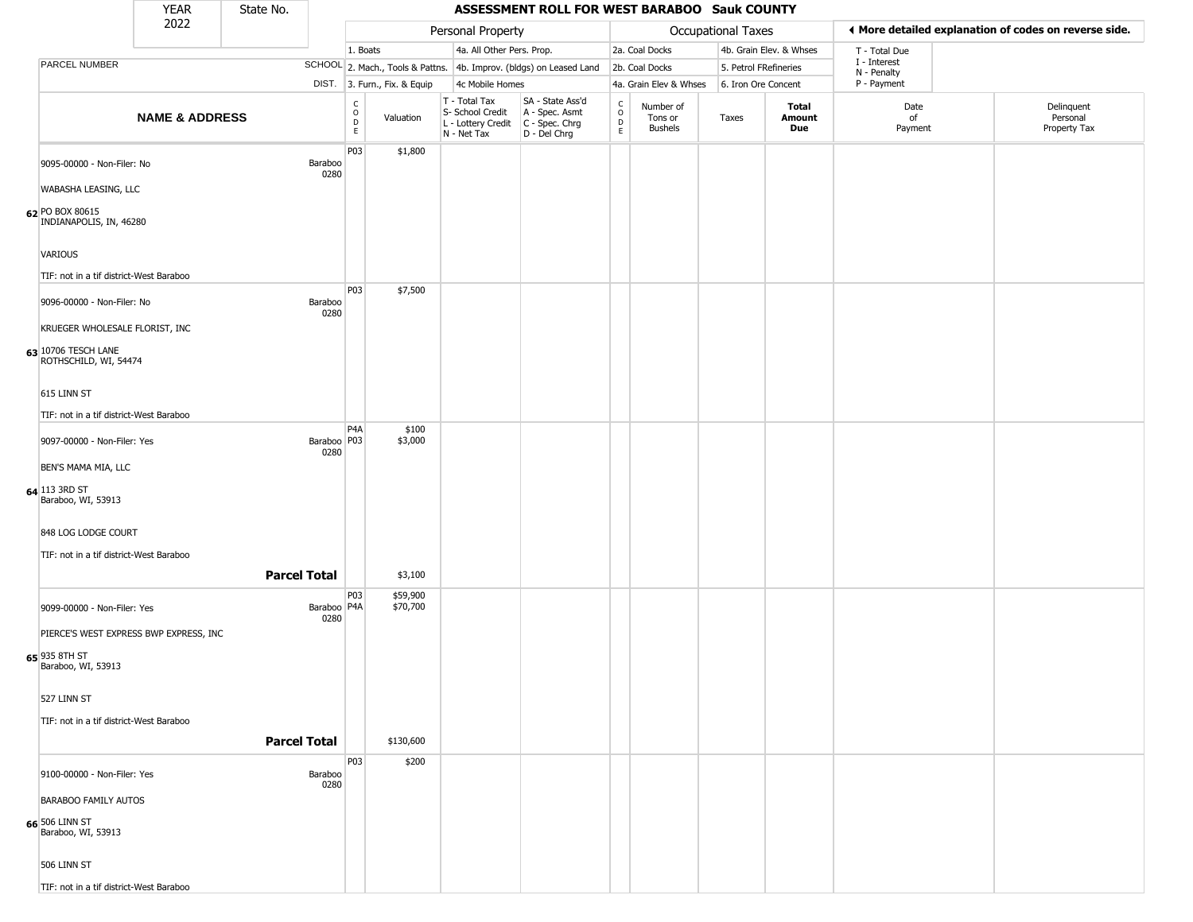|                                                    | <b>YEAR</b>                             | State No. |                       |                                   |                              |                                                                        | ASSESSMENT ROLL FOR WEST BARABOO Sauk COUNTY                         |                                            |                                        |                       |                         |                             |                                                       |
|----------------------------------------------------|-----------------------------------------|-----------|-----------------------|-----------------------------------|------------------------------|------------------------------------------------------------------------|----------------------------------------------------------------------|--------------------------------------------|----------------------------------------|-----------------------|-------------------------|-----------------------------|-------------------------------------------------------|
|                                                    | 2022                                    |           |                       |                                   |                              | Personal Property                                                      |                                                                      |                                            |                                        | Occupational Taxes    |                         |                             | ◀ More detailed explanation of codes on reverse side. |
|                                                    |                                         |           |                       | 1. Boats                          |                              | 4a. All Other Pers. Prop.                                              |                                                                      |                                            | 2a. Coal Docks                         |                       | 4b. Grain Elev. & Whses | T - Total Due               |                                                       |
| PARCEL NUMBER                                      |                                         |           |                       |                                   |                              |                                                                        | SCHOOL 2. Mach., Tools & Pattns. 4b. Improv. (bldgs) on Leased Land  |                                            | 2b. Coal Docks                         | 5. Petrol FRefineries |                         | I - Interest<br>N - Penalty |                                                       |
|                                                    |                                         |           |                       |                                   | DIST. 3. Furn., Fix. & Equip | 4c Mobile Homes                                                        |                                                                      |                                            | 4a. Grain Elev & Whses                 | 6. Iron Ore Concent   |                         | P - Payment                 |                                                       |
|                                                    | <b>NAME &amp; ADDRESS</b>               |           |                       | C<br>$\circ$<br>$\mathsf{D}$<br>E | Valuation                    | T - Total Tax<br>S- School Credit<br>L - Lottery Credit<br>N - Net Tax | SA - State Ass'd<br>A - Spec. Asmt<br>C - Spec. Chrg<br>D - Del Chrg | $\begin{array}{c} C \\ 0 \\ E \end{array}$ | Number of<br>Tons or<br><b>Bushels</b> | Taxes                 | Total<br>Amount<br>Due  | Date<br>of<br>Payment       | Delinquent<br>Personal<br>Property Tax                |
| 9095-00000 - Non-Filer: No<br>WABASHA LEASING, LLC |                                         |           | Baraboo<br>0280       | P03                               | \$1,800                      |                                                                        |                                                                      |                                            |                                        |                       |                         |                             |                                                       |
| 62 PO BOX 80615<br>INDIANAPOLIS, IN, 46280         |                                         |           |                       |                                   |                              |                                                                        |                                                                      |                                            |                                        |                       |                         |                             |                                                       |
| VARIOUS                                            |                                         |           |                       |                                   |                              |                                                                        |                                                                      |                                            |                                        |                       |                         |                             |                                                       |
|                                                    | TIF: not in a tif district-West Baraboo |           |                       | P03                               | \$7,500                      |                                                                        |                                                                      |                                            |                                        |                       |                         |                             |                                                       |
| 9096-00000 - Non-Filer: No                         |                                         |           | Baraboo<br>0280       |                                   |                              |                                                                        |                                                                      |                                            |                                        |                       |                         |                             |                                                       |
|                                                    | KRUEGER WHOLESALE FLORIST, INC          |           |                       |                                   |                              |                                                                        |                                                                      |                                            |                                        |                       |                         |                             |                                                       |
| 63 10706 TESCH LANE<br>ROTHSCHILD, WI, 54474       |                                         |           |                       |                                   |                              |                                                                        |                                                                      |                                            |                                        |                       |                         |                             |                                                       |
| 615 LINN ST                                        |                                         |           |                       |                                   |                              |                                                                        |                                                                      |                                            |                                        |                       |                         |                             |                                                       |
|                                                    | TIF: not in a tif district-West Baraboo |           |                       | P <sub>4</sub> A                  | \$100                        |                                                                        |                                                                      |                                            |                                        |                       |                         |                             |                                                       |
| 9097-00000 - Non-Filer: Yes                        |                                         |           | Baraboo   P03<br>0280 |                                   | \$3,000                      |                                                                        |                                                                      |                                            |                                        |                       |                         |                             |                                                       |
| BEN'S MAMA MIA, LLC                                |                                         |           |                       |                                   |                              |                                                                        |                                                                      |                                            |                                        |                       |                         |                             |                                                       |
| 64 113 3RD ST<br>Baraboo, WI, 53913                |                                         |           |                       |                                   |                              |                                                                        |                                                                      |                                            |                                        |                       |                         |                             |                                                       |
| 848 LOG LODGE COURT                                |                                         |           |                       |                                   |                              |                                                                        |                                                                      |                                            |                                        |                       |                         |                             |                                                       |
|                                                    | TIF: not in a tif district-West Baraboo |           |                       |                                   |                              |                                                                        |                                                                      |                                            |                                        |                       |                         |                             |                                                       |
|                                                    |                                         |           | <b>Parcel Total</b>   |                                   | \$3,100                      |                                                                        |                                                                      |                                            |                                        |                       |                         |                             |                                                       |
| 9099-00000 - Non-Filer: Yes                        |                                         |           | Baraboo   P4A<br>0280 | P03                               | \$59,900<br>\$70,700         |                                                                        |                                                                      |                                            |                                        |                       |                         |                             |                                                       |
|                                                    | PIERCE'S WEST EXPRESS BWP EXPRESS, INC  |           |                       |                                   |                              |                                                                        |                                                                      |                                            |                                        |                       |                         |                             |                                                       |
| 65 935 8TH ST<br>Baraboo, WI, 53913                |                                         |           |                       |                                   |                              |                                                                        |                                                                      |                                            |                                        |                       |                         |                             |                                                       |
| 527 LINN ST                                        |                                         |           |                       |                                   |                              |                                                                        |                                                                      |                                            |                                        |                       |                         |                             |                                                       |
|                                                    | TIF: not in a tif district-West Baraboo |           |                       |                                   |                              |                                                                        |                                                                      |                                            |                                        |                       |                         |                             |                                                       |
|                                                    |                                         |           | <b>Parcel Total</b>   |                                   | \$130,600                    |                                                                        |                                                                      |                                            |                                        |                       |                         |                             |                                                       |
| 9100-00000 - Non-Filer: Yes                        |                                         |           | Baraboo<br>0280       | <b>P03</b>                        | \$200                        |                                                                        |                                                                      |                                            |                                        |                       |                         |                             |                                                       |
| <b>BARABOO FAMILY AUTOS</b>                        |                                         |           |                       |                                   |                              |                                                                        |                                                                      |                                            |                                        |                       |                         |                             |                                                       |
| 66 506 LINN ST<br>Baraboo, WI, 53913               |                                         |           |                       |                                   |                              |                                                                        |                                                                      |                                            |                                        |                       |                         |                             |                                                       |
| 506 LINN ST                                        |                                         |           |                       |                                   |                              |                                                                        |                                                                      |                                            |                                        |                       |                         |                             |                                                       |
|                                                    | TIF: not in a tif district-West Baraboo |           |                       |                                   |                              |                                                                        |                                                                      |                                            |                                        |                       |                         |                             |                                                       |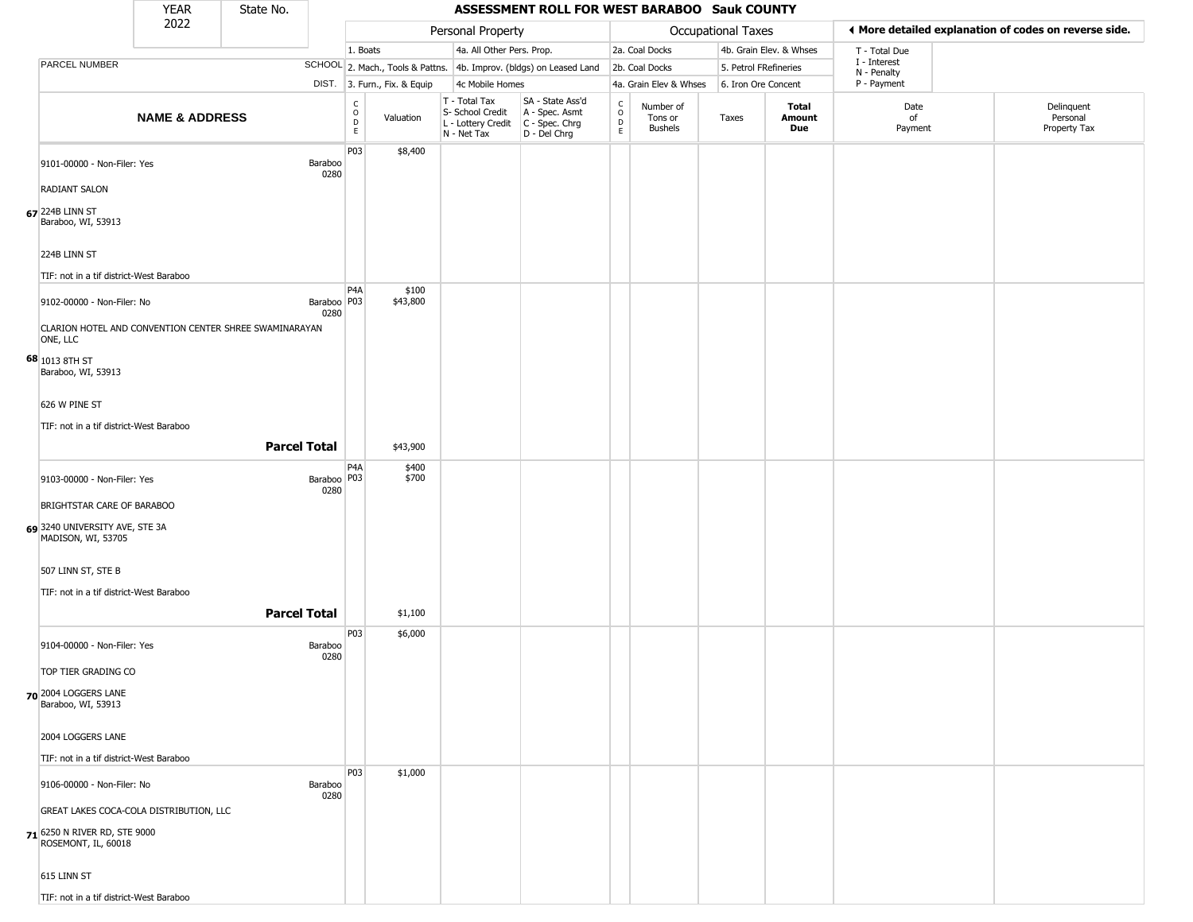|                                                            | <b>YEAR</b>                             | State No.                                              |                                                 |                              |                                                                                         | ASSESSMENT ROLL FOR WEST BARABOO Sauk COUNTY                        |                     |                                        |                       |                         |                             |                                                       |  |
|------------------------------------------------------------|-----------------------------------------|--------------------------------------------------------|-------------------------------------------------|------------------------------|-----------------------------------------------------------------------------------------|---------------------------------------------------------------------|---------------------|----------------------------------------|-----------------------|-------------------------|-----------------------------|-------------------------------------------------------|--|
|                                                            | 2022                                    |                                                        |                                                 |                              | Personal Property                                                                       |                                                                     |                     |                                        | Occupational Taxes    |                         |                             | ♦ More detailed explanation of codes on reverse side. |  |
|                                                            |                                         |                                                        |                                                 | 1. Boats                     | 4a. All Other Pers. Prop.                                                               |                                                                     |                     | 2a. Coal Docks                         |                       | 4b. Grain Elev. & Whses | T - Total Due               |                                                       |  |
| PARCEL NUMBER                                              |                                         |                                                        |                                                 |                              |                                                                                         | SCHOOL 2. Mach., Tools & Pattns. 4b. Improv. (bldgs) on Leased Land |                     | 2b. Coal Docks                         | 5. Petrol FRefineries |                         | I - Interest<br>N - Penalty |                                                       |  |
|                                                            |                                         |                                                        |                                                 | DIST. 3. Furn., Fix. & Equip | 4c Mobile Homes                                                                         |                                                                     |                     | 4a. Grain Elev & Whses                 | 6. Iron Ore Concent   |                         | P - Payment                 |                                                       |  |
|                                                            | <b>NAME &amp; ADDRESS</b>               |                                                        | $\begin{array}{c} C \\ O \\ D \\ E \end{array}$ | Valuation                    | T - Total Tax<br>S- School Credit<br>L - Lottery Credit   C - Spec. Chrg<br>N - Net Tax | SA - State Ass'd<br>A - Spec. Asmt<br>D - Del Chrg                  | $\overline{O}$<br>E | Number of<br>Tons or<br><b>Bushels</b> | Taxes                 | Total<br>Amount<br>Due  | Date<br>of<br>Payment       | Delinquent<br>Personal<br>Property Tax                |  |
| 9101-00000 - Non-Filer: Yes<br><b>RADIANT SALON</b>        |                                         | Baraboo<br>0280                                        | P03                                             | \$8,400                      |                                                                                         |                                                                     |                     |                                        |                       |                         |                             |                                                       |  |
| $67$ <sup>224B</sup> LINN ST<br>Baraboo, WI, 53913         |                                         |                                                        |                                                 |                              |                                                                                         |                                                                     |                     |                                        |                       |                         |                             |                                                       |  |
| 224B LINN ST                                               |                                         |                                                        |                                                 |                              |                                                                                         |                                                                     |                     |                                        |                       |                         |                             |                                                       |  |
| TIF: not in a tif district-West Baraboo                    |                                         |                                                        | P4A                                             | \$100                        |                                                                                         |                                                                     |                     |                                        |                       |                         |                             |                                                       |  |
| 9102-00000 - Non-Filer: No                                 |                                         | 0280                                                   | Baraboo P03                                     | \$43,800                     |                                                                                         |                                                                     |                     |                                        |                       |                         |                             |                                                       |  |
| ONE, LLC                                                   |                                         | CLARION HOTEL AND CONVENTION CENTER SHREE SWAMINARAYAN |                                                 |                              |                                                                                         |                                                                     |                     |                                        |                       |                         |                             |                                                       |  |
| 68 1013 8TH ST<br>Baraboo, WI, 53913                       |                                         |                                                        |                                                 |                              |                                                                                         |                                                                     |                     |                                        |                       |                         |                             |                                                       |  |
| 626 W PINE ST                                              |                                         |                                                        |                                                 |                              |                                                                                         |                                                                     |                     |                                        |                       |                         |                             |                                                       |  |
| TIF: not in a tif district-West Baraboo                    |                                         |                                                        |                                                 |                              |                                                                                         |                                                                     |                     |                                        |                       |                         |                             |                                                       |  |
|                                                            |                                         | <b>Parcel Total</b>                                    |                                                 | \$43,900                     |                                                                                         |                                                                     |                     |                                        |                       |                         |                             |                                                       |  |
| 9103-00000 - Non-Filer: Yes                                |                                         | 0280                                                   | P <sub>4</sub> A<br>Baraboo   P03               | \$400<br>\$700               |                                                                                         |                                                                     |                     |                                        |                       |                         |                             |                                                       |  |
| BRIGHTSTAR CARE OF BARABOO                                 |                                         |                                                        |                                                 |                              |                                                                                         |                                                                     |                     |                                        |                       |                         |                             |                                                       |  |
| 69 3240 UNIVERSITY AVE, STE 3A<br>MADISON, WI, 53705       |                                         |                                                        |                                                 |                              |                                                                                         |                                                                     |                     |                                        |                       |                         |                             |                                                       |  |
| 507 LINN ST, STE B                                         |                                         |                                                        |                                                 |                              |                                                                                         |                                                                     |                     |                                        |                       |                         |                             |                                                       |  |
| TIF: not in a tif district-West Baraboo                    |                                         |                                                        |                                                 |                              |                                                                                         |                                                                     |                     |                                        |                       |                         |                             |                                                       |  |
|                                                            |                                         | <b>Parcel Total</b>                                    |                                                 | \$1,100                      |                                                                                         |                                                                     |                     |                                        |                       |                         |                             |                                                       |  |
| 9104-00000 - Non-Filer: Yes                                |                                         | Baraboo<br>0280                                        | P03                                             | \$6,000                      |                                                                                         |                                                                     |                     |                                        |                       |                         |                             |                                                       |  |
| TOP TIER GRADING CO                                        |                                         |                                                        |                                                 |                              |                                                                                         |                                                                     |                     |                                        |                       |                         |                             |                                                       |  |
| 70 2004 LOGGERS LANE<br>Baraboo, WI, 53913                 |                                         |                                                        |                                                 |                              |                                                                                         |                                                                     |                     |                                        |                       |                         |                             |                                                       |  |
| 2004 LOGGERS LANE                                          |                                         |                                                        |                                                 |                              |                                                                                         |                                                                     |                     |                                        |                       |                         |                             |                                                       |  |
| TIF: not in a tif district-West Baraboo                    |                                         |                                                        |                                                 |                              |                                                                                         |                                                                     |                     |                                        |                       |                         |                             |                                                       |  |
| 9106-00000 - Non-Filer: No                                 |                                         | Baraboo<br>0280                                        | P03                                             | \$1,000                      |                                                                                         |                                                                     |                     |                                        |                       |                         |                             |                                                       |  |
|                                                            | GREAT LAKES COCA-COLA DISTRIBUTION, LLC |                                                        |                                                 |                              |                                                                                         |                                                                     |                     |                                        |                       |                         |                             |                                                       |  |
| <b>71</b> 6250 N RIVER RD, STE 9000<br>ROSEMONT, IL, 60018 |                                         |                                                        |                                                 |                              |                                                                                         |                                                                     |                     |                                        |                       |                         |                             |                                                       |  |
| 615 LINN ST                                                |                                         |                                                        |                                                 |                              |                                                                                         |                                                                     |                     |                                        |                       |                         |                             |                                                       |  |
| TIF: not in a tif district-West Baraboo                    |                                         |                                                        |                                                 |                              |                                                                                         |                                                                     |                     |                                        |                       |                         |                             |                                                       |  |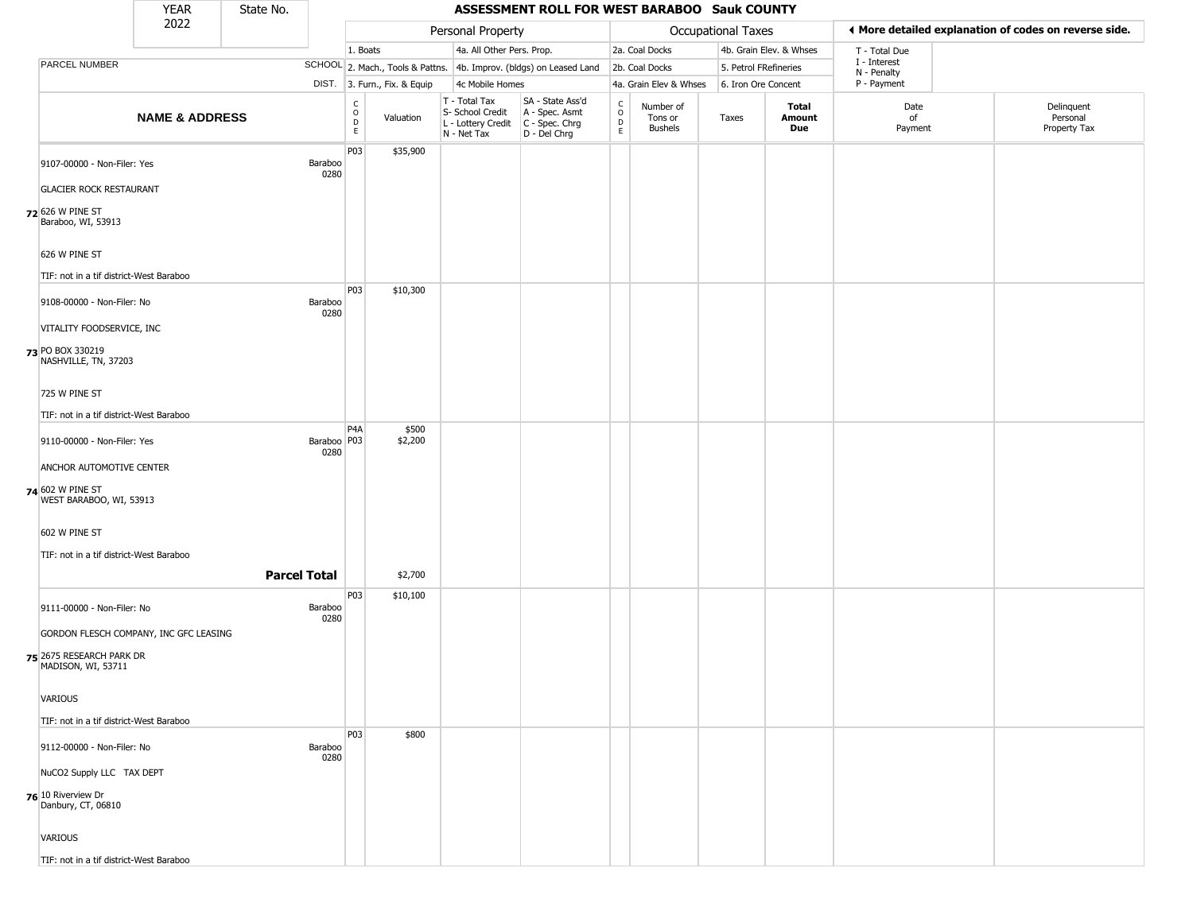|                                                | <b>YEAR</b>                             | State No.           |                       | ASSESSMENT ROLL FOR WEST BARABOO Sauk COUNTY |                              |                                                                        |                                                                      |                                                 |                                        |                       |                         |                             |                                                       |                                        |
|------------------------------------------------|-----------------------------------------|---------------------|-----------------------|----------------------------------------------|------------------------------|------------------------------------------------------------------------|----------------------------------------------------------------------|-------------------------------------------------|----------------------------------------|-----------------------|-------------------------|-----------------------------|-------------------------------------------------------|----------------------------------------|
|                                                | 2022                                    |                     |                       |                                              |                              | Personal Property                                                      |                                                                      |                                                 |                                        | Occupational Taxes    |                         |                             | ◀ More detailed explanation of codes on reverse side. |                                        |
|                                                |                                         |                     |                       | 1. Boats                                     |                              | 4a. All Other Pers. Prop.                                              |                                                                      |                                                 | 2a. Coal Docks                         |                       | 4b. Grain Elev. & Whses | T - Total Due               |                                                       |                                        |
| PARCEL NUMBER                                  |                                         |                     |                       |                                              |                              |                                                                        | SCHOOL 2. Mach., Tools & Pattns. 4b. Improv. (bldgs) on Leased Land  |                                                 | 2b. Coal Docks                         | 5. Petrol FRefineries |                         | I - Interest<br>N - Penalty |                                                       |                                        |
|                                                |                                         |                     |                       |                                              | DIST. 3. Furn., Fix. & Equip | 4c Mobile Homes                                                        |                                                                      |                                                 | 4a. Grain Elev & Whses                 | 6. Iron Ore Concent   |                         | P - Payment                 |                                                       |                                        |
|                                                | <b>NAME &amp; ADDRESS</b>               |                     |                       | $\begin{array}{c} C \\ 0 \\ E \end{array}$   | Valuation                    | T - Total Tax<br>S- School Credit<br>L - Lottery Credit<br>N - Net Tax | SA - State Ass'd<br>A - Spec. Asmt<br>C - Spec. Chrg<br>D - Del Chrg | $\begin{array}{c} C \\ O \\ D \\ E \end{array}$ | Number of<br>Tons or<br><b>Bushels</b> | Taxes                 | Total<br>Amount<br>Due  | Date<br>of<br>Payment       |                                                       | Delinquent<br>Personal<br>Property Tax |
| 9107-00000 - Non-Filer: Yes                    |                                         |                     | Baraboo<br>0280       | P03                                          | \$35,900                     |                                                                        |                                                                      |                                                 |                                        |                       |                         |                             |                                                       |                                        |
| <b>GLACIER ROCK RESTAURANT</b>                 |                                         |                     |                       |                                              |                              |                                                                        |                                                                      |                                                 |                                        |                       |                         |                             |                                                       |                                        |
| 72 626 W PINE ST<br>Baraboo, WI, 53913         |                                         |                     |                       |                                              |                              |                                                                        |                                                                      |                                                 |                                        |                       |                         |                             |                                                       |                                        |
| 626 W PINE ST                                  |                                         |                     |                       |                                              |                              |                                                                        |                                                                      |                                                 |                                        |                       |                         |                             |                                                       |                                        |
|                                                | TIF: not in a tif district-West Baraboo |                     |                       |                                              |                              |                                                                        |                                                                      |                                                 |                                        |                       |                         |                             |                                                       |                                        |
| 9108-00000 - Non-Filer: No                     |                                         |                     | Baraboo<br>0280       | P03                                          | \$10,300                     |                                                                        |                                                                      |                                                 |                                        |                       |                         |                             |                                                       |                                        |
| VITALITY FOODSERVICE, INC                      |                                         |                     |                       |                                              |                              |                                                                        |                                                                      |                                                 |                                        |                       |                         |                             |                                                       |                                        |
| 73 PO BOX 330219<br>NASHVILLE, TN, 37203       |                                         |                     |                       |                                              |                              |                                                                        |                                                                      |                                                 |                                        |                       |                         |                             |                                                       |                                        |
| 725 W PINE ST                                  |                                         |                     |                       |                                              |                              |                                                                        |                                                                      |                                                 |                                        |                       |                         |                             |                                                       |                                        |
|                                                | TIF: not in a tif district-West Baraboo |                     |                       |                                              |                              |                                                                        |                                                                      |                                                 |                                        |                       |                         |                             |                                                       |                                        |
| 9110-00000 - Non-Filer: Yes                    |                                         |                     | Baraboo   P03<br>0280 | P <sub>4</sub> A                             | \$500<br>\$2,200             |                                                                        |                                                                      |                                                 |                                        |                       |                         |                             |                                                       |                                        |
| ANCHOR AUTOMOTIVE CENTER                       |                                         |                     |                       |                                              |                              |                                                                        |                                                                      |                                                 |                                        |                       |                         |                             |                                                       |                                        |
| 74 602 W PINE ST<br>WEST BARABOO, WI, 53913    |                                         |                     |                       |                                              |                              |                                                                        |                                                                      |                                                 |                                        |                       |                         |                             |                                                       |                                        |
| 602 W PINE ST                                  |                                         |                     |                       |                                              |                              |                                                                        |                                                                      |                                                 |                                        |                       |                         |                             |                                                       |                                        |
|                                                | TIF: not in a tif district-West Baraboo |                     |                       |                                              |                              |                                                                        |                                                                      |                                                 |                                        |                       |                         |                             |                                                       |                                        |
|                                                |                                         | <b>Parcel Total</b> |                       |                                              | \$2,700                      |                                                                        |                                                                      |                                                 |                                        |                       |                         |                             |                                                       |                                        |
|                                                |                                         |                     |                       | P03                                          | \$10,100                     |                                                                        |                                                                      |                                                 |                                        |                       |                         |                             |                                                       |                                        |
| 9111-00000 - Non-Filer: No                     |                                         |                     | Baraboo<br>0280       |                                              |                              |                                                                        |                                                                      |                                                 |                                        |                       |                         |                             |                                                       |                                        |
|                                                | GORDON FLESCH COMPANY, INC GFC LEASING  |                     |                       |                                              |                              |                                                                        |                                                                      |                                                 |                                        |                       |                         |                             |                                                       |                                        |
| 75 2675 RESEARCH PARK DR<br>MADISON, WI, 53711 |                                         |                     |                       |                                              |                              |                                                                        |                                                                      |                                                 |                                        |                       |                         |                             |                                                       |                                        |
| VARIOUS                                        |                                         |                     |                       |                                              |                              |                                                                        |                                                                      |                                                 |                                        |                       |                         |                             |                                                       |                                        |
|                                                | TIF: not in a tif district-West Baraboo |                     |                       |                                              |                              |                                                                        |                                                                      |                                                 |                                        |                       |                         |                             |                                                       |                                        |
| 9112-00000 - Non-Filer: No                     |                                         |                     | Baraboo<br>0280       | <b>P03</b>                                   | \$800                        |                                                                        |                                                                      |                                                 |                                        |                       |                         |                             |                                                       |                                        |
| NuCO2 Supply LLC TAX DEPT                      |                                         |                     |                       |                                              |                              |                                                                        |                                                                      |                                                 |                                        |                       |                         |                             |                                                       |                                        |
| 76 10 Riverview Dr<br>Danbury, CT, 06810       |                                         |                     |                       |                                              |                              |                                                                        |                                                                      |                                                 |                                        |                       |                         |                             |                                                       |                                        |
| <b>VARIOUS</b>                                 |                                         |                     |                       |                                              |                              |                                                                        |                                                                      |                                                 |                                        |                       |                         |                             |                                                       |                                        |
|                                                | TIF: not in a tif district-West Baraboo |                     |                       |                                              |                              |                                                                        |                                                                      |                                                 |                                        |                       |                         |                             |                                                       |                                        |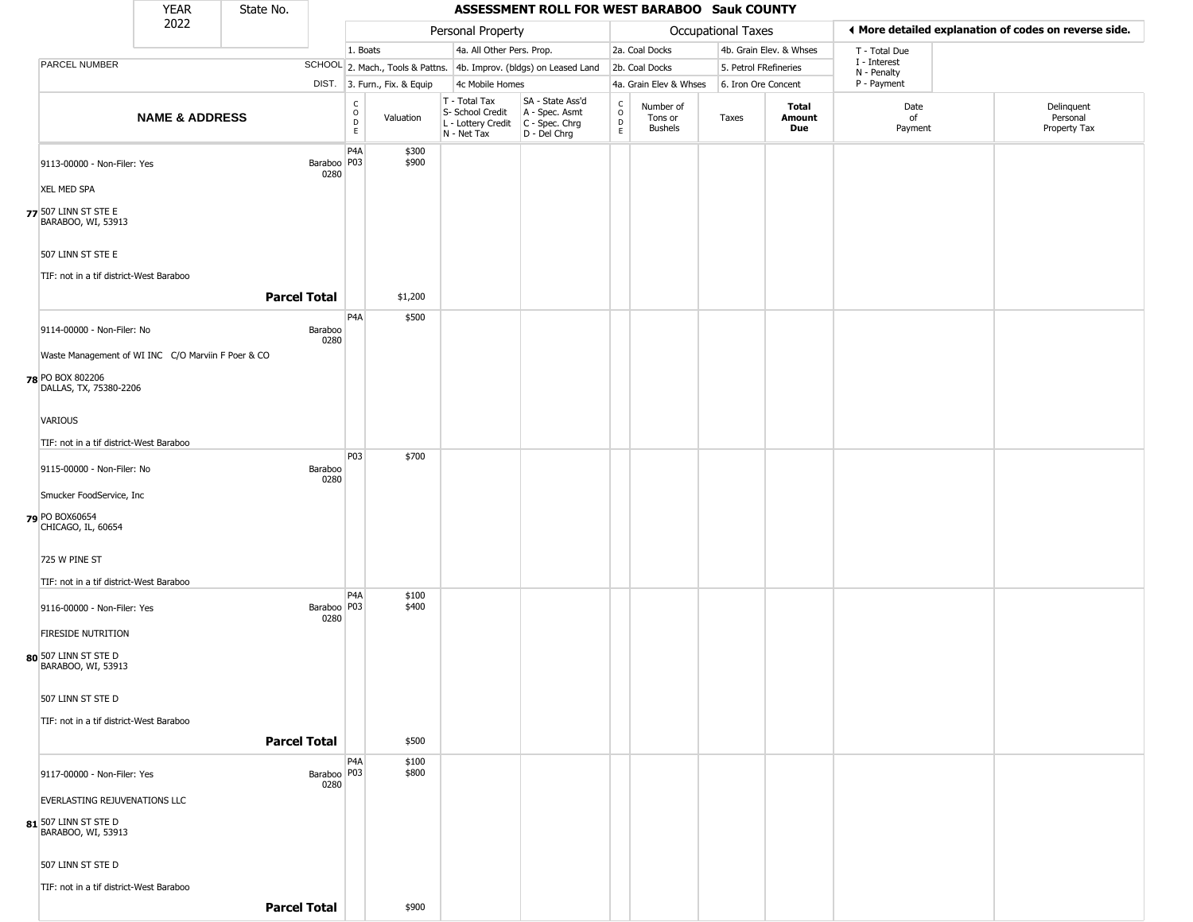|                                                              | <b>YEAR</b>               | State No.           |                                           |                              |                                                                                          | ASSESSMENT ROLL FOR WEST BARABOO Sauk COUNTY                        |                                               |                                 |                       |                         |                                                       |                                        |  |
|--------------------------------------------------------------|---------------------------|---------------------|-------------------------------------------|------------------------------|------------------------------------------------------------------------------------------|---------------------------------------------------------------------|-----------------------------------------------|---------------------------------|-----------------------|-------------------------|-------------------------------------------------------|----------------------------------------|--|
|                                                              | 2022                      |                     |                                           |                              | Personal Property                                                                        |                                                                     |                                               |                                 | Occupational Taxes    |                         | ◀ More detailed explanation of codes on reverse side. |                                        |  |
|                                                              |                           |                     |                                           | 1. Boats                     | 4a. All Other Pers. Prop.                                                                |                                                                     |                                               | 2a. Coal Docks                  |                       | 4b. Grain Elev. & Whses | T - Total Due                                         |                                        |  |
| PARCEL NUMBER                                                |                           |                     |                                           |                              |                                                                                          | SCHOOL 2. Mach., Tools & Pattns. 4b. Improv. (bldgs) on Leased Land |                                               | 2b. Coal Docks                  | 5. Petrol FRefineries |                         | I - Interest<br>N - Penalty                           |                                        |  |
|                                                              |                           |                     |                                           | DIST. 3. Furn., Fix. & Equip | 4c Mobile Homes                                                                          |                                                                     |                                               | 4a. Grain Elev & Whses          | 6. Iron Ore Concent   |                         | P - Payment                                           |                                        |  |
|                                                              | <b>NAME &amp; ADDRESS</b> |                     | $_{\rm o}^{\rm c}$<br>D<br>E              | Valuation                    | T - Total Tax<br>S- School Credit<br>L - Lottery Credit<br>C - Spec. Chrg<br>N - Net Tax | SA - State Ass'd<br>D - Del Chrg                                    | $\mathsf{C}$<br>$\circ$<br>$\mathsf{D}$<br>E. | Number of<br>Tons or<br>Bushels | Taxes                 | Total<br>Amount<br>Due  | Date<br>of<br>Payment                                 | Delinquent<br>Personal<br>Property Tax |  |
| 9113-00000 - Non-Filer: Yes                                  |                           |                     | P4A<br>Baraboo   P03<br>0280              | \$300<br>\$900               |                                                                                          |                                                                     |                                               |                                 |                       |                         |                                                       |                                        |  |
| <b>XEL MED SPA</b>                                           |                           |                     |                                           |                              |                                                                                          |                                                                     |                                               |                                 |                       |                         |                                                       |                                        |  |
| 77 507 LINN ST STE E<br>BARABOO, WI, 53913                   |                           |                     |                                           |                              |                                                                                          |                                                                     |                                               |                                 |                       |                         |                                                       |                                        |  |
| 507 LINN ST STE E<br>TIF: not in a tif district-West Baraboo |                           |                     |                                           |                              |                                                                                          |                                                                     |                                               |                                 |                       |                         |                                                       |                                        |  |
|                                                              |                           | <b>Parcel Total</b> |                                           | \$1,200                      |                                                                                          |                                                                     |                                               |                                 |                       |                         |                                                       |                                        |  |
| 9114-00000 - Non-Filer: No                                   |                           | Baraboo             | P <sub>4</sub> A<br>0280                  | \$500                        |                                                                                          |                                                                     |                                               |                                 |                       |                         |                                                       |                                        |  |
| Waste Management of WI INC C/O Marviin F Poer & CO           |                           |                     |                                           |                              |                                                                                          |                                                                     |                                               |                                 |                       |                         |                                                       |                                        |  |
| 78 PO BOX 802206<br>DALLAS, TX, 75380-2206                   |                           |                     |                                           |                              |                                                                                          |                                                                     |                                               |                                 |                       |                         |                                                       |                                        |  |
| <b>VARIOUS</b>                                               |                           |                     |                                           |                              |                                                                                          |                                                                     |                                               |                                 |                       |                         |                                                       |                                        |  |
| TIF: not in a tif district-West Baraboo                      |                           |                     |                                           |                              |                                                                                          |                                                                     |                                               |                                 |                       |                         |                                                       |                                        |  |
| 9115-00000 - Non-Filer: No                                   |                           | Baraboo             | P03<br>0280                               | \$700                        |                                                                                          |                                                                     |                                               |                                 |                       |                         |                                                       |                                        |  |
| Smucker FoodService, Inc                                     |                           |                     |                                           |                              |                                                                                          |                                                                     |                                               |                                 |                       |                         |                                                       |                                        |  |
| 79 PO BOX60654<br>CHICAGO, IL, 60654                         |                           |                     |                                           |                              |                                                                                          |                                                                     |                                               |                                 |                       |                         |                                                       |                                        |  |
| 725 W PINE ST                                                |                           |                     |                                           |                              |                                                                                          |                                                                     |                                               |                                 |                       |                         |                                                       |                                        |  |
| TIF: not in a tif district-West Baraboo                      |                           |                     |                                           |                              |                                                                                          |                                                                     |                                               |                                 |                       |                         |                                                       |                                        |  |
| 9116-00000 - Non-Filer: Yes                                  |                           |                     | P <sub>4</sub> A<br>Baraboo   P03<br>0280 | \$100<br>\$400               |                                                                                          |                                                                     |                                               |                                 |                       |                         |                                                       |                                        |  |
| <b>FIRESIDE NUTRITION</b>                                    |                           |                     |                                           |                              |                                                                                          |                                                                     |                                               |                                 |                       |                         |                                                       |                                        |  |
| 80 507 LINN ST STE D<br>BARABOO, WI, 53913                   |                           |                     |                                           |                              |                                                                                          |                                                                     |                                               |                                 |                       |                         |                                                       |                                        |  |
| 507 LINN ST STE D                                            |                           |                     |                                           |                              |                                                                                          |                                                                     |                                               |                                 |                       |                         |                                                       |                                        |  |
| TIF: not in a tif district-West Baraboo                      |                           |                     |                                           |                              |                                                                                          |                                                                     |                                               |                                 |                       |                         |                                                       |                                        |  |
|                                                              |                           | <b>Parcel Total</b> |                                           | \$500                        |                                                                                          |                                                                     |                                               |                                 |                       |                         |                                                       |                                        |  |
| 9117-00000 - Non-Filer: Yes                                  |                           |                     | P4A<br>Baraboo   P03<br>0280              | \$100<br>\$800               |                                                                                          |                                                                     |                                               |                                 |                       |                         |                                                       |                                        |  |
| EVERLASTING REJUVENATIONS LLC                                |                           |                     |                                           |                              |                                                                                          |                                                                     |                                               |                                 |                       |                         |                                                       |                                        |  |
| 81 507 LINN ST STE D<br>BARABOO, WI, 53913                   |                           |                     |                                           |                              |                                                                                          |                                                                     |                                               |                                 |                       |                         |                                                       |                                        |  |
| 507 LINN ST STE D                                            |                           |                     |                                           |                              |                                                                                          |                                                                     |                                               |                                 |                       |                         |                                                       |                                        |  |
| TIF: not in a tif district-West Baraboo                      |                           |                     |                                           |                              |                                                                                          |                                                                     |                                               |                                 |                       |                         |                                                       |                                        |  |
|                                                              |                           | <b>Parcel Total</b> |                                           | \$900                        |                                                                                          |                                                                     |                                               |                                 |                       |                         |                                                       |                                        |  |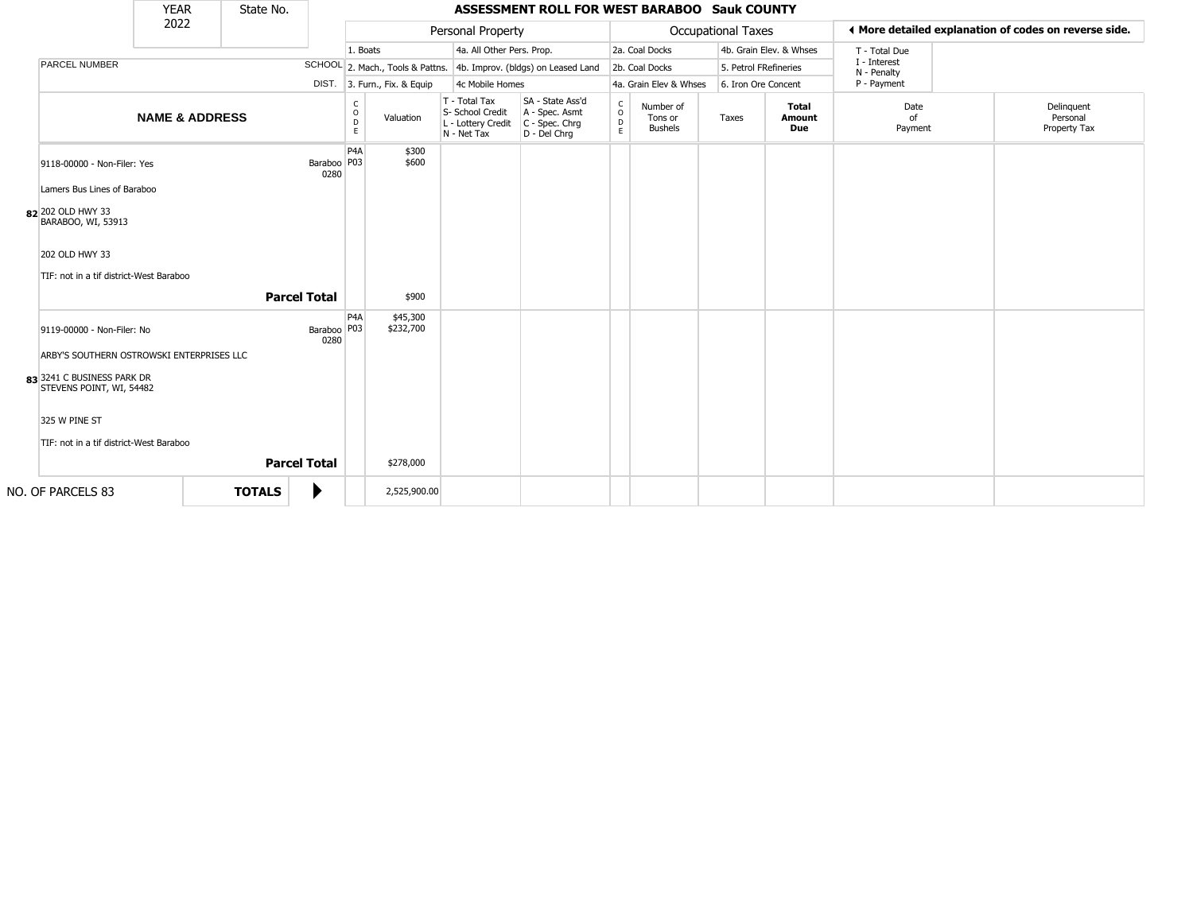|                                                                                                     | <b>YEAR</b>               | State No.           |                       |                         |                              |                                                                        | ASSESSMENT ROLL FOR WEST BARABOO Sauk COUNTY                           |                         |                                        |                           |                               |                             |                                                       |
|-----------------------------------------------------------------------------------------------------|---------------------------|---------------------|-----------------------|-------------------------|------------------------------|------------------------------------------------------------------------|------------------------------------------------------------------------|-------------------------|----------------------------------------|---------------------------|-------------------------------|-----------------------------|-------------------------------------------------------|
|                                                                                                     | 2022                      |                     |                       |                         |                              | Personal Property                                                      |                                                                        |                         |                                        | <b>Occupational Taxes</b> |                               |                             | ◀ More detailed explanation of codes on reverse side. |
|                                                                                                     |                           |                     |                       | 1. Boats                |                              | 4a. All Other Pers. Prop.                                              |                                                                        |                         | 2a. Coal Docks                         |                           | 4b. Grain Elev. & Whses       | T - Total Due               |                                                       |
| <b>PARCEL NUMBER</b>                                                                                |                           |                     |                       |                         |                              |                                                                        | SCHOOL 2. Mach., Tools & Pattns. 4b. Improv. (bldgs) on Leased Land    |                         | 2b. Coal Docks                         |                           | 5. Petrol FRefineries         | I - Interest<br>N - Penalty |                                                       |
|                                                                                                     |                           |                     |                       |                         | DIST. 3. Furn., Fix. & Equip | 4c Mobile Homes                                                        |                                                                        |                         | 4a. Grain Elev & Whses                 |                           | 6. Iron Ore Concent           | P - Payment                 |                                                       |
|                                                                                                     | <b>NAME &amp; ADDRESS</b> |                     |                       | C<br>$\circ$<br>D<br>E  | Valuation                    | T - Total Tax<br>S- School Credit<br>L - Lottery Credit<br>N - Net Tax | SA - State Ass'd<br>A - Spec. Asmt<br>$C - Spec. Chrg$<br>D - Del Chrq | $\frac{c}{0}$<br>D<br>E | Number of<br>Tons or<br><b>Bushels</b> | Taxes                     | <b>Total</b><br>Amount<br>Due | Date<br>of<br>Payment       | Delinguent<br>Personal<br>Property Tax                |
| 9118-00000 - Non-Filer: Yes<br>Lamers Bus Lines of Baraboo                                          |                           |                     | Baraboo   P03<br>0280 | P <sub>4</sub> A        | \$300<br>\$600               |                                                                        |                                                                        |                         |                                        |                           |                               |                             |                                                       |
| 82 202 OLD HWY 33<br>BARABOO, WI, 53913                                                             |                           |                     |                       |                         |                              |                                                                        |                                                                        |                         |                                        |                           |                               |                             |                                                       |
| 202 OLD HWY 33                                                                                      |                           |                     |                       |                         |                              |                                                                        |                                                                        |                         |                                        |                           |                               |                             |                                                       |
| TIF: not in a tif district-West Baraboo                                                             |                           |                     |                       |                         |                              |                                                                        |                                                                        |                         |                                        |                           |                               |                             |                                                       |
|                                                                                                     |                           | <b>Parcel Total</b> |                       |                         | \$900                        |                                                                        |                                                                        |                         |                                        |                           |                               |                             |                                                       |
| 9119-00000 - Non-Filer: No                                                                          |                           |                     | Baraboo<br>0280       | P <sub>4</sub> A<br>P03 | \$45,300<br>\$232,700        |                                                                        |                                                                        |                         |                                        |                           |                               |                             |                                                       |
| ARBY'S SOUTHERN OSTROWSKI ENTERPRISES LLC<br>83 3241 C BUSINESS PARK DR<br>STEVENS POINT, WI, 54482 |                           |                     |                       |                         |                              |                                                                        |                                                                        |                         |                                        |                           |                               |                             |                                                       |
| 325 W PINE ST                                                                                       |                           |                     |                       |                         |                              |                                                                        |                                                                        |                         |                                        |                           |                               |                             |                                                       |
| TIF: not in a tif district-West Baraboo                                                             |                           | <b>Parcel Total</b> |                       |                         | \$278,000                    |                                                                        |                                                                        |                         |                                        |                           |                               |                             |                                                       |
| NO. OF PARCELS 83                                                                                   |                           | <b>TOTALS</b>       |                       |                         | 2,525,900.00                 |                                                                        |                                                                        |                         |                                        |                           |                               |                             |                                                       |